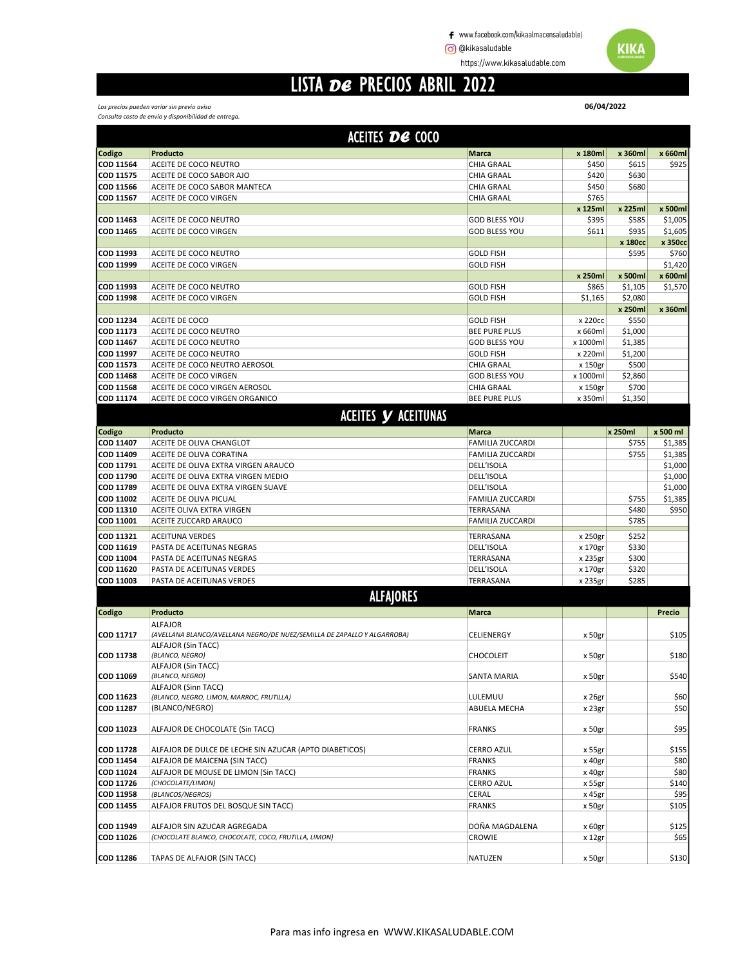https://www.kikasaludable.com

#### LISTA DE PRECIOS ABRIL 2022

Los precios pueden variar sin previo aviso Consulta costo de envío y disponibilidad de entrega.

|                        | ACEITES DE COCO                                                                     |                                           |                    |                  |                    |
|------------------------|-------------------------------------------------------------------------------------|-------------------------------------------|--------------------|------------------|--------------------|
| Codigo                 | Producto                                                                            | <b>Marca</b>                              | x 180ml            | x 360ml          | x 660ml            |
| COD 11564              | ACEITE DE COCO NEUTRO                                                               | <b>CHIA GRAAL</b>                         | \$450              | \$615            | \$925              |
| COD 11575              | ACEITE DE COCO SABOR AJO                                                            | <b>CHIA GRAAL</b>                         | \$420              | \$630            |                    |
| COD 11566              | ACEITE DE COCO SABOR MANTECA                                                        | CHIA GRAAL                                | \$450              | \$680            |                    |
| COD 11567              | ACEITE DE COCO VIRGEN                                                               | CHIA GRAAL                                | \$765              |                  |                    |
|                        |                                                                                     |                                           | x 125ml            | x 225ml          | x 500ml            |
| COD 11463              | ACEITE DE COCO NEUTRO                                                               | <b>GOD BLESS YOU</b>                      | \$395              | \$585            | \$1,005            |
| COD 11465              | ACEITE DE COCO VIRGEN                                                               | <b>GOD BLESS YOU</b>                      | \$611              | \$935            | \$1,605            |
| COD 11993              | ACEITE DE COCO NEUTRO                                                               | <b>GOLD FISH</b>                          |                    | x 180cc<br>\$595 | x 350cc<br>\$760   |
| COD 11999              | ACEITE DE COCO VIRGEN                                                               | <b>GOLD FISH</b>                          |                    |                  | \$1,420            |
|                        |                                                                                     |                                           | x 250ml            | x 500ml          | x 600ml            |
| COD 11993              | ACEITE DE COCO NEUTRO                                                               | <b>GOLD FISH</b>                          | \$865              | \$1,105          | \$1,570            |
| COD 11998              | ACEITE DE COCO VIRGEN                                                               | <b>GOLD FISH</b>                          | \$1,165            | \$2,080          |                    |
|                        |                                                                                     |                                           |                    | x 250ml          | x 360ml            |
| COD 11234              | ACEITE DE COCO                                                                      | <b>GOLD FISH</b>                          | x 220cc            | \$550            |                    |
| COD 11173              | ACEITE DE COCO NEUTRO                                                               | <b>BEE PURE PLUS</b>                      | x 660ml            | \$1,000          |                    |
| COD 11467              | ACEITE DE COCO NEUTRO                                                               | <b>GOD BLESS YOU</b>                      | x 1000ml           | \$1,385          |                    |
| COD 11997              | ACEITE DE COCO NEUTRO                                                               | <b>GOLD FISH</b>                          | x 220ml            | \$1,200          |                    |
| COD 11573              | ACEITE DE COCO NEUTRO AEROSOL                                                       | <b>CHIA GRAAL</b>                         | x 150gr            | \$500            |                    |
| COD 11468              | ACEITE DE COCO VIRGEN                                                               | <b>GOD BLESS YOU</b>                      | x 1000ml           | \$2,860          |                    |
| COD 11568<br>COD 11174 | ACEITE DE COCO VIRGEN AEROSOL<br>ACEITE DE COCO VIRGEN ORGANICO                     | <b>CHIA GRAAL</b><br><b>BEE PURE PLUS</b> | x 150gr<br>x 350ml | \$700<br>\$1,350 |                    |
|                        |                                                                                     |                                           |                    |                  |                    |
|                        | <b>ACEITES Y ACEITUNAS</b>                                                          |                                           |                    |                  |                    |
| Codigo                 | Producto                                                                            | <b>Marca</b>                              |                    | x 250ml          | x 500 ml           |
| COD 11407              | ACEITE DE OLIVA CHANGLOT                                                            | <b>FAMILIA ZUCCARDI</b>                   |                    | \$755            | \$1,385            |
| COD 11409              | ACEITE DE OLIVA CORATINA                                                            | <b>FAMILIA ZUCCARDI</b>                   |                    | \$755            | \$1,385            |
| COD 11791              | ACEITE DE OLIVA EXTRA VIRGEN ARAUCO                                                 | DELL'ISOLA                                |                    |                  | \$1,000            |
| COD 11790<br>COD 11789 | ACEITE DE OLIVA EXTRA VIRGEN MEDIO<br>ACEITE DE OLIVA EXTRA VIRGEN SUAVE            | DELL'ISOLA<br>DELL'ISOLA                  |                    |                  | \$1,000<br>\$1,000 |
| COD 11002              | ACEITE DE OLIVA PICUAL                                                              | <b>FAMILIA ZUCCARDI</b>                   |                    | \$755            | \$1,385            |
| COD 11310              | ACEITE OLIVA EXTRA VIRGEN                                                           | TERRASANA                                 |                    | \$480            | \$950              |
| COD 11001              | ACEITE ZUCCARD ARAUCO                                                               | <b>FAMILIA ZUCCARDI</b>                   |                    | \$785            |                    |
|                        | <b>ACEITUNA VERDES</b>                                                              | TERRASANA                                 |                    | \$252            |                    |
| COD 11321<br>COD 11619 | PASTA DE ACEITUNAS NEGRAS                                                           | DELL'ISOLA                                | x 250gr<br>x 170gr | \$330            |                    |
| COD 11004              | PASTA DE ACEITUNAS NEGRAS                                                           | TERRASANA                                 | x 235gr            | \$300            |                    |
| COD 11620              | PASTA DE ACEITUNAS VERDES                                                           | DELL'ISOLA                                | x 170gr            | \$320            |                    |
| COD 11003              | PASTA DE ACEITUNAS VERDES                                                           | TERRASANA                                 | x 235gr            | \$285            |                    |
|                        | <b>ALFAJORES</b>                                                                    |                                           |                    |                  |                    |
| Codigo                 | Producto                                                                            | <b>Marca</b>                              |                    |                  | Precio             |
|                        | <b>ALFAJOR</b>                                                                      |                                           |                    |                  |                    |
| COD 11717              | (AVELLANA BLANCO/AVELLANA NEGRO/DE NUEZ/SEMILLA DE ZAPALLO Y ALGARROBA)             | CELIENERGY                                | x 50gr             |                  | \$105              |
|                        | ALFAJOR (Sin TACC)                                                                  |                                           |                    |                  |                    |
| COD 11738              | (BLANCO, NEGRO)                                                                     | <b>CHOCOLEIT</b>                          | x 50gr             |                  | \$180              |
| COD 11069              | ALFAJOR (Sin TACC)<br>(BLANCO, NEGRO)                                               | SANTA MARIA                               | x 50gr             |                  | \$540              |
|                        | ALFAJOR (Sinn TACC)                                                                 |                                           |                    |                  |                    |
| COD 11623              | (BLANCO, NEGRO, LIMON, MARROC, FRUTILLA)                                            | LULEMUU                                   | x 26gr             |                  | \$60               |
| COD 11287              | (BLANCO/NEGRO)                                                                      | ABUELA MECHA                              | x 23gr             |                  | \$50               |
|                        |                                                                                     |                                           |                    |                  |                    |
| COD 11023              | ALFAJOR DE CHOCOLATE (Sin TACC)                                                     | <b>FRANKS</b>                             | x 50gr             |                  | \$95               |
| COD 11728              | ALFAJOR DE DULCE DE LECHE SIN AZUCAR (APTO DIABETICOS)                              | <b>CERRO AZUL</b>                         | x 55gr             |                  | \$155              |
| COD 11454              | ALFAJOR DE MAICENA (SIN TACC)                                                       | <b>FRANKS</b>                             | x 40gr             |                  | \$80               |
| COD 11024              | ALFAJOR DE MOUSE DE LIMON (Sin TACC)                                                | <b>FRANKS</b>                             | x 40gr             |                  | \$80               |
| COD 11726              | (CHOCOLATE/LIMON)                                                                   | <b>CERRO AZUL</b>                         | x 55gr             |                  | \$140              |
| COD 11958              | (BLANCOS/NEGROS)                                                                    | CERAL                                     | x 45gr             |                  | \$95               |
| COD 11455              | ALFAJOR FRUTOS DEL BOSQUE SIN TACC)                                                 | <b>FRANKS</b>                             | x 50gr             |                  | \$105              |
|                        |                                                                                     |                                           |                    |                  |                    |
| COD 11949<br>COD 11026 | ALFAJOR SIN AZUCAR AGREGADA<br>(CHOCOLATE BLANCO, CHOCOLATE, COCO, FRUTILLA, LIMON) | DOÑA MAGDALENA                            | x 60gr             |                  | \$125              |
|                        |                                                                                     | CROWIE                                    | x 12gr             |                  | \$65               |
| COD 11286              | TAPAS DE ALFAJOR (SIN TACC)                                                         | NATUZEN                                   | x 50gr             |                  | \$130              |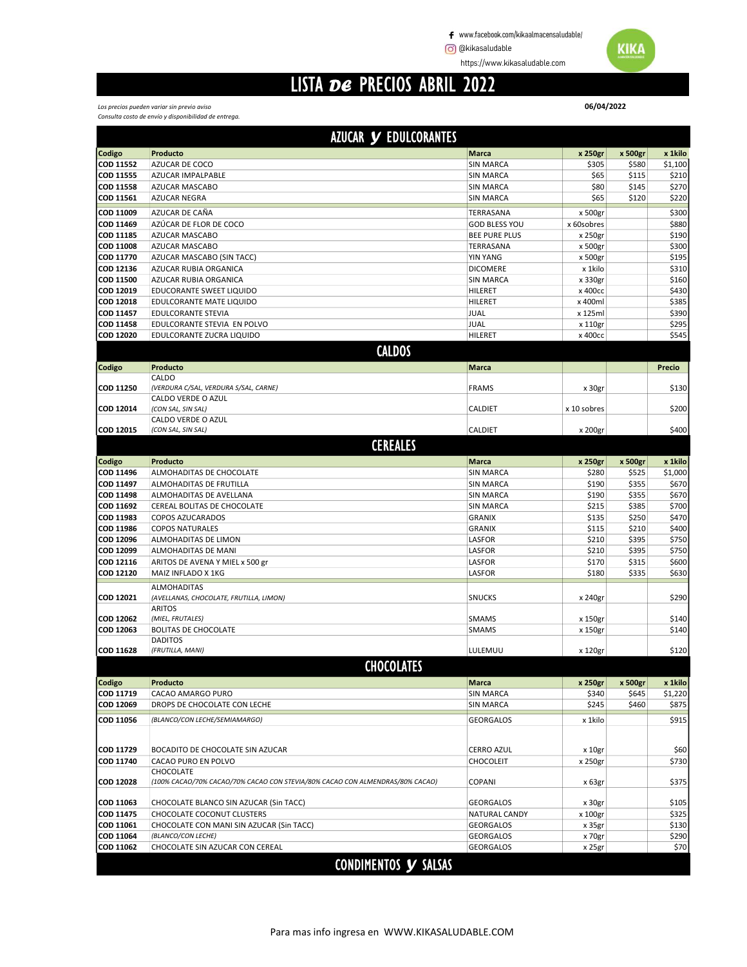www.facebook.com/kikaalmacensaludable/

**@** @kikasaludable **WIKA** 

https://www.kikasaludable.com

## LISTA DE PRECIOS ABRIL 2022

06/04/2022

#### Los precios pueden variar sin previo aviso Consulta costo de envío y disponibilidad de entrega.

|                        | <b>AZUCAR Y EDULCORANTES</b>                                                  |                      |                    |                |                |
|------------------------|-------------------------------------------------------------------------------|----------------------|--------------------|----------------|----------------|
| Codigo                 | Producto                                                                      | <b>Marca</b>         | x 250gr            | x 500gr        | x 1kilo        |
| <b>COD 11552</b>       | AZUCAR DE COCO                                                                | <b>SIN MARCA</b>     | \$305              | \$580          | \$1,100        |
| COD 11555              | AZUCAR IMPALPABLE                                                             | <b>SIN MARCA</b>     | \$65               | \$115          | \$210          |
| <b>COD 11558</b>       | AZUCAR MASCABO                                                                | <b>SIN MARCA</b>     | \$80               | \$145          | \$270          |
| COD 11561              | <b>AZUCAR NEGRA</b>                                                           | <b>SIN MARCA</b>     | \$65               | \$120          | \$220          |
| COD 11009              | AZUCAR DE CAÑA                                                                | TERRASANA            | x 500gr            |                | \$300          |
| COD 11469              | AZÚCAR DE FLOR DE COCO                                                        | <b>GOD BLESS YOU</b> | x 60sobres         |                | \$880          |
| COD 11185              | AZUCAR MASCABO                                                                | <b>BEE PURE PLUS</b> | x 250gr            |                | \$190          |
| COD 11008              | <b>AZUCAR MASCABO</b>                                                         | TERRASANA            | x 500gr            |                | \$300          |
| COD 11770              | AZUCAR MASCABO (SIN TACC)                                                     | <b>YIN YANG</b>      | x 500gr            |                | \$195          |
| COD 12136              | AZUCAR RUBIA ORGANICA                                                         | <b>DICOMERE</b>      | x 1kilo            |                | \$310          |
| COD 11500              | AZUCAR RUBIA ORGANICA                                                         | <b>SIN MARCA</b>     | x 330gr            |                | \$160          |
| COD 12019              | EDUCORANTE SWEET LIQUIDO                                                      | HILERET              | x 400cc            |                | \$430          |
| COD 12018<br>COD 11457 | EDULCORANTE MATE LIQUIDO<br><b>EDULCORANTE STEVIA</b>                         | HILERET              | x 400ml            |                | \$385<br>\$390 |
| <b>COD 11458</b>       | EDULCORANTE STEVIA EN POLVO                                                   | JUAL<br>JUAL         | x 125ml<br>x 110gr |                | \$295          |
| COD 12020              | EDULCORANTE ZUCRA LIQUIDO                                                     | HILERET              | х 400сс            |                | \$545          |
|                        | <b>CALDOS</b>                                                                 |                      |                    |                |                |
|                        |                                                                               |                      |                    |                |                |
| Codigo                 | Producto                                                                      | Marca                |                    |                | Precio         |
| COD 11250              | CALDO<br>(VERDURA C/SAL, VERDURA S/SAL, CARNE)                                | <b>FRAMS</b>         | x 30gr             |                | \$130          |
|                        | CALDO VERDE O AZUL                                                            |                      |                    |                |                |
| COD 12014              | (CON SAL, SIN SAL)                                                            | CALDIET              | x 10 sobres        |                | \$200          |
|                        | CALDO VERDE O AZUL                                                            |                      |                    |                |                |
| <b>COD 12015</b>       | (CON SAL, SIN SAL)                                                            | CALDIET              | x 200gr            |                | \$400          |
|                        | <b>CEREALES</b>                                                               |                      |                    |                |                |
| Codigo                 | Producto                                                                      | Marca                | x 250gr            | x 500gr        | x 1kilo        |
| COD 11496              | ALMOHADITAS DE CHOCOLATE                                                      | <b>SIN MARCA</b>     | \$280              | \$525          | \$1,000        |
| COD 11497              | ALMOHADITAS DE FRUTILLA                                                       | <b>SIN MARCA</b>     | \$190              | \$355          | \$670          |
| COD 11498              | ALMOHADITAS DE AVELLANA                                                       | <b>SIN MARCA</b>     | \$190              | \$355          | \$670          |
| COD 11692              | CEREAL BOLITAS DE CHOCOLATE                                                   | <b>SIN MARCA</b>     | \$215              | \$385          | \$700          |
| COD 11983              | <b>COPOS AZUCARADOS</b>                                                       | <b>GRANIX</b>        | \$135              | \$250          | \$470          |
| COD 11986              | <b>COPOS NATURALES</b>                                                        | <b>GRANIX</b>        | \$115              | \$210          | \$400          |
| COD 12096              | ALMOHADITAS DE LIMON                                                          | LASFOR               | \$210              | \$395          | \$750          |
| COD 12099              | ALMOHADITAS DE MANI                                                           | LASFOR               | \$210              | \$395          | \$750          |
| COD 12116<br>COD 12120 | ARITOS DE AVENA Y MIEL x 500 gr<br>MAIZ INFLADO X 1KG                         | LASFOR<br>LASFOR     | \$170<br>\$180     | \$315<br>\$335 | \$600<br>\$630 |
|                        |                                                                               |                      |                    |                |                |
| COD 12021              | <b>ALMOHADITAS</b><br>(AVELLANAS, CHOCOLATE, FRUTILLA, LIMON)                 | <b>SNUCKS</b>        | x 240gr            |                | \$290          |
|                        | <b>ARITOS</b>                                                                 |                      |                    |                |                |
| COD 12062              | (MIEL, FRUTALES)                                                              | <b>SMAMS</b>         | x 150gr            |                | \$140          |
| COD 12063              | <b>BOLITAS DE CHOCOLATE</b>                                                   | <b>SMAMS</b>         | x 150gr            |                | \$140          |
|                        | <b>DADITOS</b>                                                                |                      |                    |                |                |
| <b>COD 11628</b>       | (FRUTILLA, MANI)                                                              | LULEMUU              | x 120gr            |                | \$120          |
|                        | <b>CHOCOLATES</b>                                                             |                      |                    |                |                |
| Codigo                 | Producto                                                                      | <b>Marca</b>         | x 250gr            | x 500gr        | x 1kilo        |
| COD 11719              | CACAO AMARGO PURO                                                             | <b>SIN MARCA</b>     | \$340              | \$645          | \$1,220        |
| COD 12069              | DROPS DE CHOCOLATE CON LECHE                                                  | <b>SIN MARCA</b>     | \$245              | \$460          | \$875          |
| COD 11056              | (BLANCO/CON LECHE/SEMIAMARGO)                                                 | <b>GEORGALOS</b>     | x 1kilo            |                | \$915          |
|                        |                                                                               |                      |                    |                |                |
|                        |                                                                               |                      |                    |                |                |
| COD 11729              | BOCADITO DE CHOCOLATE SIN AZUCAR                                              | <b>CERRO AZUL</b>    | x 10gr             |                | \$60           |
| COD 11740              | CACAO PURO EN POLVO<br>CHOCOLATE                                              | <b>CHOCOLEIT</b>     | x 250gr            |                | \$730          |
| <b>COD 12028</b>       | (100% CACAO/70% CACAO/70% CACAO CON STEVIA/80% CACAO CON ALMENDRAS/80% CACAO) | COPANI               | x 63gr             |                | \$375          |
| COD 11063              | CHOCOLATE BLANCO SIN AZUCAR (Sin TACC)                                        | <b>GEORGALOS</b>     | x 30gr             |                | \$105          |
| COD 11475              | CHOCOLATE COCONUT CLUSTERS                                                    | NATURAL CANDY        | x 100gr            |                | \$325          |
| COD 11061              | CHOCOLATE CON MANI SIN AZUCAR (Sin TACC)                                      | <b>GEORGALOS</b>     | x 35gr             |                | \$130          |
| COD 11064              | (BLANCO/CON LECHE)                                                            | <b>GEORGALOS</b>     | x 70gr             |                | \$290          |
| COD 11062              | CHOCOLATE SIN AZUCAR CON CEREAL                                               | <b>GEORGALOS</b>     | x 25gr             |                | \$70           |
|                        | CONDIMENTOS Y SALSAS                                                          |                      |                    |                |                |
|                        |                                                                               |                      |                    |                |                |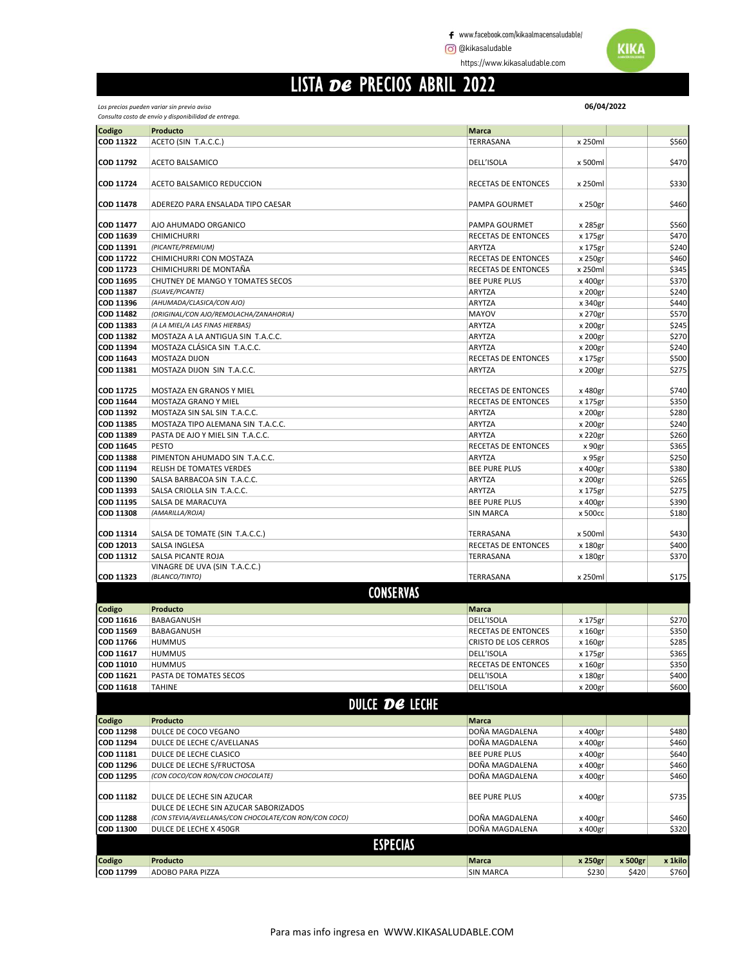https://www.kikasaludable.com

#### LISTA DE PRECIOS ABRIL 2022

| Los precios pueden variar sin previo aviso           |
|------------------------------------------------------|
| Consulta costo de envío y disponibilidad de entrega. |

| Codigo                 | Producto                                              | <b>Marca</b>                         |         |         |         |
|------------------------|-------------------------------------------------------|--------------------------------------|---------|---------|---------|
| COD 11322              | ACETO (SIN T.A.C.C.)                                  | TERRASANA                            | x 250ml |         | \$560   |
|                        |                                                       |                                      |         |         |         |
| COD 11792              | ACETO BALSAMICO                                       | DELL'ISOLA                           | x 500ml |         | \$470   |
|                        |                                                       |                                      |         |         |         |
| COD 11724              | ACETO BALSAMICO REDUCCION                             | RECETAS DE ENTONCES                  | x 250ml |         | \$330   |
|                        |                                                       |                                      |         |         |         |
| <b>COD 11478</b>       | ADEREZO PARA ENSALADA TIPO CAESAR                     | PAMPA GOURMET                        | x 250gr |         | \$460   |
|                        |                                                       |                                      |         |         |         |
| COD 11477              | AJO AHUMADO ORGANICO                                  | PAMPA GOURMET                        | x 285gr |         | \$560   |
| COD 11639              | <b>CHIMICHURRI</b>                                    | RECETAS DE ENTONCES                  | x 175gr |         | \$470   |
| COD 11391              | (PICANTE/PREMIUM)                                     | ARYTZA                               | x 175gr |         | \$240   |
| COD 11722              | CHIMICHURRI CON MOSTAZA                               | <b>RECETAS DE ENTONCES</b>           | x 250gr |         | \$460   |
| COD 11723              | CHIMICHURRI DE MONTAÑA                                | <b>RECETAS DE ENTONCES</b>           | x 250ml |         | \$345   |
| COD 11695              | CHUTNEY DE MANGO Y TOMATES SECOS                      | <b>BEE PURE PLUS</b>                 | x 400gr |         | \$370   |
| COD 11387              | (SUAVE/PICANTE)                                       | ARYTZA                               | x 200gr |         | \$240   |
| COD 11396              | (AHUMADA/CLASICA/CON AJO)                             | ARYTZA                               | x 340gr |         | \$440   |
| COD 11482              | (ORIGINAL/CON AJO/REMOLACHA/ZANAHORIA)                | MAYOV                                | x 270gr |         | \$570   |
| COD 11383              | (A LA MIEL/A LAS FINAS HIERBAS)                       | ARYTZA                               | x 200gr |         | \$245   |
| COD 11382              | MOSTAZA A LA ANTIGUA SIN T.A.C.C.                     | ARYTZA                               | x 200gr |         | \$270   |
| COD 11394              | MOSTAZA CLÁSICA SIN T.A.C.C.                          | <b>ARYTZA</b>                        | x 200gr |         | \$240   |
| COD 11643              | <b>MOSTAZA DIJON</b>                                  | <b>RECETAS DE ENTONCES</b>           | x 175gr |         | \$500   |
| COD 11381              | MOSTAZA DIJON SIN T.A.C.C.                            | ARYTZA                               | x 200gr |         | \$275   |
| <b>COD 11725</b>       |                                                       |                                      |         |         |         |
|                        | MOSTAZA EN GRANOS Y MIEL                              | RECETAS DE ENTONCES                  | x 480gr |         | \$740   |
| COD 11644              | MOSTAZA GRANO Y MIEL                                  | RECETAS DE ENTONCES                  | x 175gr |         | \$350   |
| COD 11392<br>COD 11385 | MOSTAZA SIN SAL SIN T.A.C.C.                          | ARYTZA                               | x 200gr |         | \$280   |
|                        | MOSTAZA TIPO ALEMANA SIN T.A.C.C.                     | ARYTZA                               | x 200gr |         | \$240   |
| COD 11389              | PASTA DE AJO Y MIEL SIN T.A.C.C.                      | ARYTZA                               | x 220gr |         | \$260   |
| COD 11645<br>COD 11388 | <b>PESTO</b>                                          | RECETAS DE ENTONCES<br><b>ARYTZA</b> | x 90gr  |         | \$365   |
|                        | PIMENTON AHUMADO SIN T.A.C.C.                         |                                      | x 95gr  |         | \$250   |
| COD 11194              | RELISH DE TOMATES VERDES                              | <b>BEE PURE PLUS</b>                 | x 400gr |         | \$380   |
| COD 11390<br>COD 11393 | SALSA BARBACOA SIN T.A.C.C.                           | ARYTZA                               | x 200gr |         | \$265   |
|                        | SALSA CRIOLLA SIN T.A.C.C.                            | ARYTZA                               | x 175gr |         | \$275   |
| COD 11195              | SALSA DE MARACUYA                                     | <b>BEE PURE PLUS</b>                 | x 400gr |         | \$390   |
| <b>COD 11308</b>       | (AMARILLA/ROJA)                                       | <b>SIN MARCA</b>                     | x 500cc |         | \$180   |
| COD 11314              | SALSA DE TOMATE (SIN T.A.C.C.)                        | TERRASANA                            | x 500ml |         | \$430   |
| COD 12013              | SALSA INGLESA                                         | RECETAS DE ENTONCES                  | x 180gr |         | \$400   |
| COD 11312              | SALSA PICANTE ROJA                                    | TERRASANA                            | x 180gr |         | \$370   |
|                        | VINAGRE DE UVA (SIN T.A.C.C.)                         |                                      |         |         |         |
| COD 11323              | (BLANCO/TINTO)                                        | TERRASANA                            | x 250ml |         | \$175   |
|                        |                                                       |                                      |         |         |         |
|                        | <b>CONSERVAS</b>                                      |                                      |         |         |         |
| Codigo                 | Producto                                              | <b>Marca</b>                         |         |         |         |
| COD 11616              | BABAGANUSH                                            | DELL'ISOLA                           | x 175gr |         | \$270   |
| COD 11569              | BABAGANUSH                                            | RECETAS DE ENTONCES                  | x 160gr |         | \$350   |
| COD 11766              | <b>HUMMUS</b>                                         | <b>CRISTO DE LOS CERROS</b>          | x 160gr |         | \$285   |
| COD 11617              | <b>HUMMUS</b>                                         | DELL'ISOLA                           | x 175gr |         | \$365   |
| COD 11010              | <b>HUMMUS</b>                                         | RECETAS DE ENTONCES                  | x 160gr |         | \$350   |
| COD 11621              | PASTA DE TOMATES SECOS                                | DELL'ISOLA                           | x 180gr |         | \$400   |
| COD 11618              | <b>TAHINE</b>                                         | DELL'ISOLA                           | x 200gr |         | \$600   |
|                        | <b>DULCE DE LECHE</b>                                 |                                      |         |         |         |
|                        |                                                       |                                      |         |         |         |
| Codigo                 | Producto                                              | <b>Marca</b>                         |         |         |         |
| COD 11298              | DULCE DE COCO VEGANO                                  | DOÑA MAGDALENA                       | x 400gr |         | \$480   |
| COD 11294              | DULCE DE LECHE C/AVELLANAS                            | DOÑA MAGDALENA                       | x 400gr |         | \$460   |
| COD 11181              | DULCE DE LECHE CLASICO                                | <b>BEE PURE PLUS</b>                 | x 400gr |         | \$640   |
| COD 11296              | DULCE DE LECHE S/FRUCTOSA                             | DOÑA MAGDALENA                       | x 400gr |         | \$460   |
| COD 11295              | (CON COCO/CON RON/CON CHOCOLATE)                      | DOÑA MAGDALENA                       | x 400gr |         | \$460   |
|                        |                                                       |                                      |         |         |         |
| COD 11182              | DULCE DE LECHE SIN AZUCAR                             | <b>BEE PURE PLUS</b>                 | x 400gr |         | \$735   |
|                        | DULCE DE LECHE SIN AZUCAR SABORIZADOS                 |                                      |         |         |         |
| <b>COD 11288</b>       | (CON STEVIA/AVELLANAS/CON CHOCOLATE/CON RON/CON COCO) | DOÑA MAGDALENA                       | x 400gr |         | \$460   |
| COD 11300              | DULCE DE LECHE X 450GR                                | DOÑA MAGDALENA                       | x 400gr |         | \$320   |
|                        | <b>ESPECIAS</b>                                       |                                      |         |         |         |
|                        |                                                       |                                      |         |         |         |
| Codigo                 | Producto                                              | <b>Marca</b>                         | x 250gr | x 500gr | x 1kilo |
| COD 11799              | ADOBO PARA PIZZA                                      | <b>SIN MARCA</b>                     | \$230   | \$420   | \$760   |

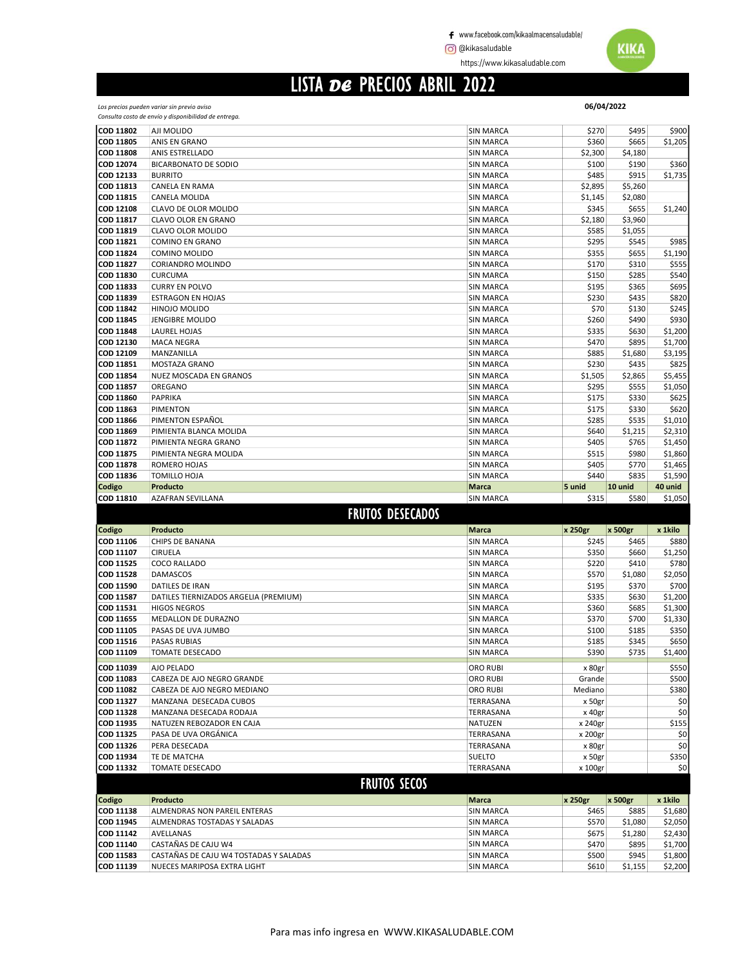https://www.kikasaludable.com

# LISTA DE PRECIOS ABRIL 2022

|                        | 06/04/2022<br>Los precios pueden variar sin previo aviso     |                                      |                    |                  |                    |
|------------------------|--------------------------------------------------------------|--------------------------------------|--------------------|------------------|--------------------|
|                        | Consulta costo de envío y disponibilidad de entrega.         |                                      |                    |                  |                    |
| COD 11802              | AJI MOLIDO                                                   | <b>SIN MARCA</b>                     | \$270              | \$495            | \$900              |
| COD 11805              | ANIS EN GRANO                                                | <b>SIN MARCA</b>                     | \$360              | \$665            | \$1,205            |
| <b>COD 11808</b>       | ANIS ESTRELLADO                                              | <b>SIN MARCA</b>                     | \$2,300            | \$4,180          |                    |
| COD 12074              | <b>BICARBONATO DE SODIO</b>                                  | <b>SIN MARCA</b>                     | \$100              | \$190            | \$360              |
| COD 12133              | <b>BURRITO</b>                                               | <b>SIN MARCA</b>                     | \$485              | \$915            | \$1,735            |
| COD 11813              | CANELA EN RAMA                                               | <b>SIN MARCA</b>                     | \$2,895            | \$5,260          |                    |
| COD 11815<br>COD 12108 | CANELA MOLIDA<br>CLAVO DE OLOR MOLIDO                        | <b>SIN MARCA</b><br><b>SIN MARCA</b> | \$1,145<br>\$345   | \$2,080<br>\$655 | \$1,240            |
| COD 11817              | CLAVO OLOR EN GRANO                                          | <b>SIN MARCA</b>                     | \$2,180            | \$3,960          |                    |
| COD 11819              | CLAVO OLOR MOLIDO                                            | <b>SIN MARCA</b>                     | \$585              | \$1,055          |                    |
| COD 11821              | <b>COMINO EN GRANO</b>                                       | <b>SIN MARCA</b>                     | \$295              | \$545            | \$985              |
| COD 11824              | COMINO MOLIDO                                                | <b>SIN MARCA</b>                     | \$355              | \$655            | \$1,190            |
| COD 11827              | <b>CORIANDRO MOLINDO</b>                                     | <b>SIN MARCA</b>                     | \$170              | \$310            | \$555              |
| COD 11830              | <b>CURCUMA</b>                                               | <b>SIN MARCA</b>                     | \$150              | \$285            | \$540              |
| COD 11833              | <b>CURRY EN POLVO</b>                                        | <b>SIN MARCA</b>                     | \$195              | \$365            | \$695              |
| COD 11839              | <b>ESTRAGON EN HOJAS</b>                                     | <b>SIN MARCA</b>                     | \$230              | \$435            | \$820              |
| COD 11842              | HINOJO MOLIDO                                                | <b>SIN MARCA</b>                     | \$70               | \$130            | \$245              |
| COD 11845              | <b>JENGIBRE MOLIDO</b>                                       | <b>SIN MARCA</b>                     | \$260              | \$490            | \$930              |
| COD 11848              | LAUREL HOJAS                                                 | <b>SIN MARCA</b>                     | \$335              | \$630            | \$1,200            |
| COD 12130              | <b>MACA NEGRA</b>                                            | <b>SIN MARCA</b>                     | \$470              | \$895            | \$1,700            |
| COD 12109              | MANZANILLA                                                   | <b>SIN MARCA</b>                     | \$885              | \$1,680          | \$3,195            |
| COD 11851<br>COD 11854 | MOSTAZA GRANO<br>NUEZ MOSCADA EN GRANOS                      | <b>SIN MARCA</b><br><b>SIN MARCA</b> | \$230<br>\$1,505   | \$435<br>\$2,865 | \$825<br>\$5,455   |
| COD 11857              | OREGANO                                                      | <b>SIN MARCA</b>                     | \$295              | \$555            | \$1,050            |
| COD 11860              | PAPRIKA                                                      | <b>SIN MARCA</b>                     | \$175              | \$330            | \$625              |
| COD 11863              | <b>PIMENTON</b>                                              | <b>SIN MARCA</b>                     | \$175              | \$330            | \$620              |
| COD 11866              | PIMENTON ESPAÑOL                                             | <b>SIN MARCA</b>                     | \$285              | \$535            | \$1,010            |
| COD 11869              | PIMIENTA BLANCA MOLIDA                                       | <b>SIN MARCA</b>                     | \$640              | \$1,215          | \$2,310            |
| COD 11872              | PIMIENTA NEGRA GRANO                                         | <b>SIN MARCA</b>                     | \$405              | \$765            | \$1,450            |
| COD 11875              | PIMIENTA NEGRA MOLIDA                                        | <b>SIN MARCA</b>                     | \$515              | \$980            | \$1,860            |
| <b>COD 11878</b>       | ROMERO HOJAS                                                 | <b>SIN MARCA</b>                     | \$405              | \$770            | \$1,465            |
| COD 11836              | TOMILLO HOJA                                                 | <b>SIN MARCA</b>                     | \$440              | \$835            | \$1,590            |
| Codigo                 | Producto                                                     | <b>Marca</b>                         | 5 unid             | 10 unid          | 40 unid            |
|                        |                                                              |                                      |                    |                  |                    |
| COD 11810              | AZAFRAN SEVILLANA                                            | <b>SIN MARCA</b>                     | \$315              | \$580            | \$1,050            |
|                        | <b>FRUTOS DESECADOS</b>                                      |                                      |                    |                  |                    |
|                        | Producto                                                     | Marca                                |                    |                  |                    |
| Codigo<br>COD 11106    | CHIPS DE BANANA                                              | <b>SIN MARCA</b>                     | x 250gr<br>\$245   | x 500gr<br>\$465 | x 1kilo<br>\$880   |
| COD 11107              | <b>CIRUELA</b>                                               | <b>SIN MARCA</b>                     | \$350              | \$660            | \$1,250            |
| COD 11525              | COCO RALLADO                                                 | <b>SIN MARCA</b>                     | \$220              | \$410            | \$780              |
| <b>COD 11528</b>       | <b>DAMASCOS</b>                                              | <b>SIN MARCA</b>                     | \$570              | \$1,080          | \$2,050            |
| COD 11590              | DATILES DE IRAN                                              | <b>SIN MARCA</b>                     | \$195              | \$370            | \$700              |
| COD 11587              | DATILES TIERNIZADOS ARGELIA (PREMIUM)                        | <b>SIN MARCA</b>                     | \$335              | \$630            | \$1,200            |
| COD 11531              | <b>HIGOS NEGROS</b>                                          | <b>SIN MARCA</b>                     | \$360              | \$685            | \$1,300            |
| COD 11655              | MEDALLON DE DURAZNO                                          | <b>SIN MARCA</b>                     | \$370              | \$700            | \$1,330            |
| COD 11105              | PASAS DE UVA JUMBO                                           | <b>SIN MARCA</b>                     | \$100              | \$185            | \$350              |
| COD 11516              | <b>PASAS RUBIAS</b>                                          | <b>SIN MARCA</b>                     | \$185              | \$345            | \$650              |
| COD 11109              | <b>TOMATE DESECADO</b>                                       | <b>SIN MARCA</b>                     | \$390              | \$735            | \$1,400            |
| COD 11039              | AJO PELADO                                                   | ORO RUBI                             | x 80gr             |                  | \$550              |
| COD 11083              | CABEZA DE AJO NEGRO GRANDE                                   | ORO RUBI                             | Grande             |                  | \$500              |
| COD 11082              | CABEZA DE AJO NEGRO MEDIANO                                  | ORO RUBI                             | Mediano            |                  | \$380              |
| COD 11327              | MANZANA DESECADA CUBOS                                       | TERRASANA                            | x 50gr             |                  | \$0                |
| COD 11328<br>COD 11935 | MANZANA DESECADA RODAJA<br>NATUZEN REBOZADOR EN CAJA         | TERRASANA<br>NATUZEN                 | x 40gr             |                  | \$0                |
| COD 11325              | PASA DE UVA ORGÁNICA                                         | TERRASANA                            | x 240gr<br>x 200gr |                  | \$155<br>\$0       |
| COD 11326              | PERA DESECADA                                                | TERRASANA                            | x 80gr             |                  | \$0                |
| COD 11934              | TE DE MATCHA                                                 | <b>SUELTO</b>                        | x 50gr             |                  | \$350              |
| COD 11332              | <b>TOMATE DESECADO</b>                                       | TERRASANA                            | x 100gr            |                  | \$0                |
|                        |                                                              |                                      |                    |                  |                    |
|                        | <b>FRUTOS SECOS</b>                                          |                                      |                    |                  |                    |
| Codigo                 | Producto                                                     | Marca                                | x 250gr            | x 500gr          | x 1kilo            |
| COD 11138<br>COD 11945 | ALMENDRAS NON PAREIL ENTERAS<br>ALMENDRAS TOSTADAS Y SALADAS | <b>SIN MARCA</b><br><b>SIN MARCA</b> | \$465<br>\$570     | \$885<br>\$1,080 | \$1,680<br>\$2,050 |
| COD 11142              | AVELLANAS                                                    | <b>SIN MARCA</b>                     | \$675              | \$1,280          | \$2,430            |
| COD 11140              | CASTAÑAS DE CAJU W4                                          | <b>SIN MARCA</b>                     | \$470              | \$895            | \$1,700            |
| COD 11583              | CASTAÑAS DE CAJU W4 TOSTADAS Y SALADAS                       | <b>SIN MARCA</b>                     | \$500              | \$945            | \$1,800            |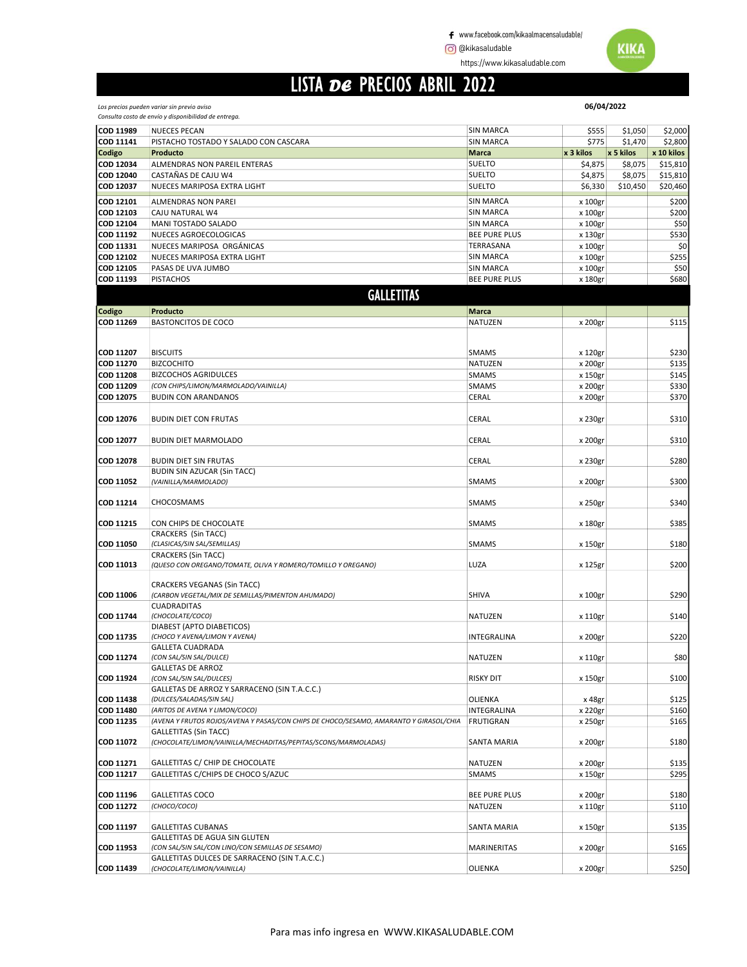https://www.kikasaludable.com

## LISTA DE PRECIOS ABRIL 2022

Los precios pueden variar sin previo aviso

|                  | Consulta costo de envío y disponibilidad de entrega.                                   |                      |           |           |            |
|------------------|----------------------------------------------------------------------------------------|----------------------|-----------|-----------|------------|
| COD 11989        | <b>NUECES PECAN</b>                                                                    | SIN MARCA            | \$555     | \$1,050   | \$2,000    |
| COD 11141        | PISTACHO TOSTADO Y SALADO CON CASCARA                                                  | <b>SIN MARCA</b>     | \$775     | \$1,470   | \$2,800    |
| Codigo           | Producto                                                                               | <b>Marca</b>         | x 3 kilos | x 5 kilos | x 10 kilos |
| COD 12034        | ALMENDRAS NON PAREIL ENTERAS                                                           | <b>SUELTO</b>        | \$4,875   | \$8,075   | \$15,810   |
| COD 12040        | CASTAÑAS DE CAJU W4                                                                    | <b>SUELTO</b>        | \$4,875   | \$8,075   | \$15,810   |
| COD 12037        | NUECES MARIPOSA EXTRA LIGHT                                                            | <b>SUELTO</b>        | \$6,330   | \$10,450  | \$20,460   |
|                  |                                                                                        |                      |           |           |            |
| COD 12101        | ALMENDRAS NON PAREI                                                                    | SIN MARCA            | x 100gr   |           | \$200      |
| COD 12103        | CAJU NATURAL W4                                                                        | <b>SIN MARCA</b>     | x 100gr   |           | \$200      |
| COD 12104        | MANI TOSTADO SALADO                                                                    | SIN MARCA            | x 100gr   |           | \$50       |
| <b>COD 11192</b> | NUECES AGROECOLOGICAS                                                                  | <b>BEE PURE PLUS</b> | x 130gr   |           | \$530      |
| COD 11331        | NUECES MARIPOSA ORGÁNICAS                                                              | TERRASANA            | x 100gr   |           | \$0        |
| COD 12102        | NUECES MARIPOSA EXTRA LIGHT                                                            | <b>SIN MARCA</b>     | x 100gr   |           | \$255      |
| COD 12105        | PASAS DE UVA JUMBO                                                                     | <b>SIN MARCA</b>     | x 100gr   |           | \$50       |
| COD 11193        | <b>PISTACHOS</b>                                                                       | <b>BEE PURE PLUS</b> | x 180gr   |           | \$680      |
|                  |                                                                                        |                      |           |           |            |
|                  | <b>GALLETITAS</b>                                                                      |                      |           |           |            |
| Codigo           | Producto                                                                               | Marca                |           |           |            |
| COD 11269        | <b>BASTONCITOS DE COCO</b>                                                             | NATUZEN              | x 200gr   |           | \$115      |
|                  |                                                                                        |                      |           |           |            |
|                  |                                                                                        |                      |           |           |            |
| COD 11207        | <b>BISCUITS</b>                                                                        | SMAMS                | x 120gr   |           | \$230      |
| COD 11270        | <b>BIZCOCHITO</b>                                                                      | NATUZEN              | x 200gr   |           | \$135      |
| <b>COD 11208</b> | <b>BIZCOCHOS AGRIDULCES</b>                                                            | SMAMS                | x 150gr   |           | \$145      |
| COD 11209        | (CON CHIPS/LIMON/MARMOLADO/VAINILLA)                                                   |                      |           |           |            |
|                  |                                                                                        | <b>SMAMS</b>         | x 200gr   |           | \$330      |
| COD 12075        | <b>BUDIN CON ARANDANOS</b>                                                             | CERAL                | x 200gr   |           | \$370      |
|                  |                                                                                        |                      |           |           |            |
| COD 12076        | <b>BUDIN DIET CON FRUTAS</b>                                                           | CERAL                | x 230gr   |           | \$310      |
|                  |                                                                                        |                      |           |           |            |
| COD 12077        | <b>BUDIN DIET MARMOLADO</b>                                                            | CERAL                | x 200gr   |           | \$310      |
|                  |                                                                                        |                      |           |           |            |
| <b>COD 12078</b> | <b>BUDIN DIET SIN FRUTAS</b>                                                           | CERAL                | x 230gr   |           | \$280      |
|                  | <b>BUDIN SIN AZUCAR (Sin TACC)</b>                                                     |                      |           |           |            |
| COD 11052        | (VAINILLA/MARMOLADO)                                                                   | SMAMS                | x 200gr   |           | \$300      |
|                  |                                                                                        |                      |           |           |            |
| <b>COD 11214</b> | CHOCOSMAMS                                                                             | SMAMS                | x 250gr   |           | \$340      |
|                  |                                                                                        |                      |           |           |            |
| <b>COD 11215</b> | CON CHIPS DE CHOCOLATE                                                                 | <b>SMAMS</b>         | x 180gr   |           | \$385      |
|                  | CRACKERS (Sin TACC)                                                                    |                      |           |           |            |
| COD 11050        | (CLASICAS/SIN SAL/SEMILLAS)                                                            | SMAMS                | x 150gr   |           | \$180      |
|                  | <b>CRACKERS (Sin TACC)</b>                                                             |                      |           |           |            |
| COD 11013        | (QUESO CON OREGANO/TOMATE, OLIVA Y ROMERO/TOMILLO Y OREGANO)                           | LUZA                 | x 125gr   |           | \$200      |
|                  |                                                                                        |                      |           |           |            |
|                  | <b>CRACKERS VEGANAS (Sin TACC)</b>                                                     |                      |           |           |            |
| <b>COD 11006</b> | (CARBON VEGETAL/MIX DE SEMILLAS/PIMENTON AHUMADO)                                      | SHIVA                | x 100gr   |           | \$290      |
|                  | <b>CUADRADITAS</b>                                                                     |                      |           |           |            |
| <b>COD 11744</b> | (CHOCOLATE/COCO)                                                                       | NATUZEN              | x 110gr   |           | \$140      |
|                  | DIABEST (APTO DIABETICOS)                                                              |                      |           |           |            |
| COD 11735        | (CHOCO Y AVENA/LIMON Y AVENA)                                                          | INTEGRALINA          | x 200gr   |           | \$220      |
|                  | <b>GALLETA CUADRADA</b>                                                                |                      |           |           |            |
| COD 11274        | (CON SAL/SIN SAL/DULCE)                                                                | NATUZEN              | x 110gr   |           | \$80       |
|                  | <b>GALLETAS DE ARROZ</b>                                                               |                      |           |           |            |
| COD 11924        | (CON SAL/SIN SAL/DULCES)                                                               | <b>RISKY DIT</b>     | x 150gr   |           | \$100      |
|                  | GALLETAS DE ARROZ Y SARRACENO (SIN T.A.C.C.)                                           |                      |           |           |            |
| COD 11438        | (DULCES/SALADAS/SIN SAL)                                                               | OLIENKA              | x 48gr    |           | \$125      |
| COD 11480        | (ARITOS DE AVENA Y LIMON/COCO)                                                         | INTEGRALINA          | x 220gr   |           | \$160      |
| COD 11235        | (AVENA Y FRUTOS ROJOS/AVENA Y PASAS/CON CHIPS DE CHOCO/SESAMO, AMARANTO Y GIRASOL/CHIA | <b>FRUTIGRAN</b>     | x 250gr   |           | \$165      |
|                  | <b>GALLETITAS (Sin TACC)</b>                                                           |                      |           |           |            |
| COD 11072        | (CHOCOLATE/LIMON/VAINILLA/MECHADITAS/PEPITAS/SCONS/MARMOLADAS)                         | SANTA MARIA          | x 200gr   |           | \$180      |
|                  |                                                                                        |                      |           |           |            |
| COD 11271        | GALLETITAS C/ CHIP DE CHOCOLATE                                                        | NATUZEN              | x 200gr   |           | \$135      |
| COD 11217        | GALLETITAS C/CHIPS DE CHOCO S/AZUC                                                     | <b>SMAMS</b>         | x 150gr   |           | \$295      |
|                  |                                                                                        |                      |           |           |            |
| COD 11196        | <b>GALLETITAS COCO</b>                                                                 | BEE PURE PLUS        | x 200gr   |           | \$180      |
| COD 11272        | (CHOCO/COCO)                                                                           | NATUZEN              | x 110gr   |           | \$110      |
|                  |                                                                                        |                      |           |           |            |
| COD 11197        | <b>GALLETITAS CUBANAS</b>                                                              | SANTA MARIA          | x 150gr   |           | \$135      |
|                  | GALLETITAS DE AGUA SIN GLUTEN                                                          |                      |           |           |            |
| COD 11953        | (CON SAL/SIN SAL/CON LINO/CON SEMILLAS DE SESAMO)                                      | MARINERITAS          | x 200gr   |           | \$165      |
|                  | GALLETITAS DULCES DE SARRACENO (SIN T.A.C.C.)                                          |                      |           |           |            |
| COD 11439        | (CHOCOLATE/LIMON/VAINILLA)                                                             | OLIENKA              | x 200gr   |           | \$250      |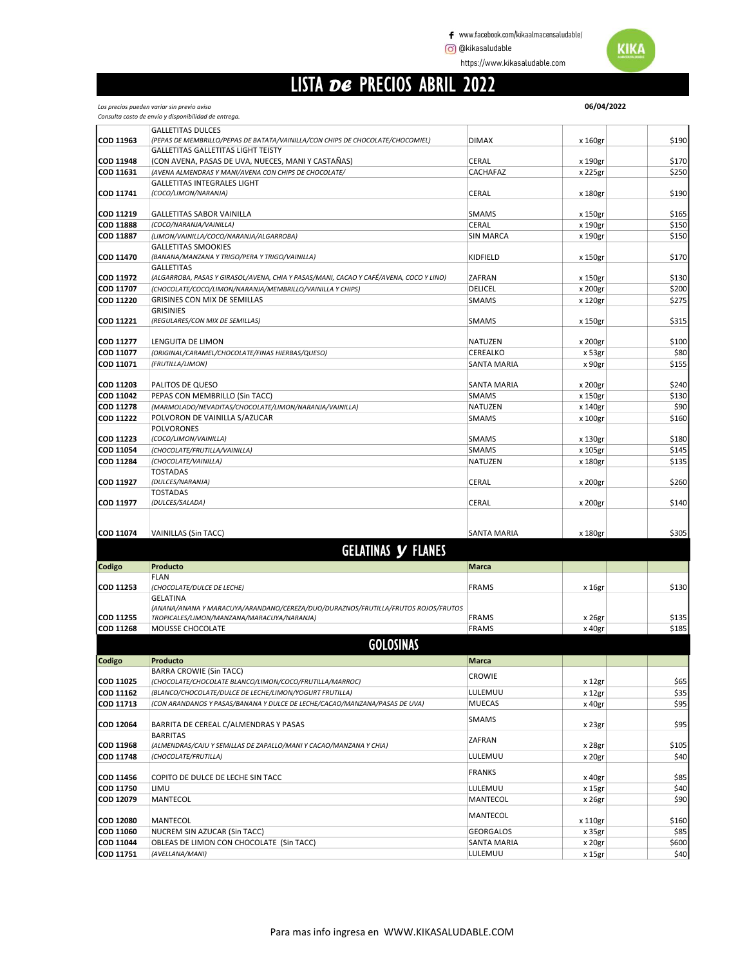https://www.kikasaludable.com

## LISTA DE PRECIOS ABRIL 2022

|                  | Los precios pueden variar sin previo aviso                                             |                    | 06/04/2022 |       |
|------------------|----------------------------------------------------------------------------------------|--------------------|------------|-------|
|                  | Consulta costo de envío y disponibilidad de entrega.                                   |                    |            |       |
|                  | <b>GALLETITAS DULCES</b>                                                               |                    |            |       |
| COD 11963        | (PEPAS DE MEMBRILLO/PEPAS DE BATATA/VAINILLA/CON CHIPS DE CHOCOLATE/CHOCOMIEL)         | <b>DIMAX</b>       | x 160gr    | \$190 |
|                  | <b>GALLETITAS GALLETITAS LIGHT TEISTY</b>                                              |                    |            |       |
| <b>COD 11948</b> | (CON AVENA, PASAS DE UVA, NUECES, MANI Y CASTAÑAS)                                     | CERAL              | x 190gr    | \$170 |
| COD 11631        | (AVENA ALMENDRAS Y MANI/AVENA CON CHIPS DE CHOCOLATE/                                  | CACHAFAZ           | x 225gr    | \$250 |
| COD 11741        | <b>GALLETITAS INTEGRALES LIGHT</b><br>(COCO/LIMON/NARANJA)                             | CERAL              |            | \$190 |
|                  |                                                                                        |                    | x 180gr    |       |
| COD 11219        | <b>GALLETITAS SABOR VAINILLA</b>                                                       | <b>SMAMS</b>       | x 150gr    | \$165 |
| <b>COD 11888</b> | (COCO/NARANJA/VAINILLA)                                                                | CERAL              | x 190gr    | \$150 |
| <b>COD 11887</b> | (LIMON/VAINILLA/COCO/NARANJA/ALGARROBA)                                                | <b>SIN MARCA</b>   | x 190gr    | \$150 |
|                  | <b>GALLETITAS SMOOKIES</b>                                                             |                    |            |       |
| COD 11470        | (BANANA/MANZANA Y TRIGO/PERA Y TRIGO/VAINILLA)                                         | KIDFIELD           | x 150gr    | \$170 |
|                  | <b>GALLETITAS</b>                                                                      |                    |            |       |
| COD 11972        | (ALGARROBA, PASAS Y GIRASOL/AVENA, CHIA Y PASAS/MANI, CACAO Y CAFÉ/AVENA, COCO Y LINO) | ZAFRAN             | x 150gr    | \$130 |
| COD 11707        | (CHOCOLATE/COCO/LIMON/NARANJA/MEMBRILLO/VAINILLA Y CHIPS)                              | DELICEL            | x 200gr    | \$200 |
| COD 11220        | <b>GRISINES CON MIX DE SEMILLAS</b>                                                    | <b>SMAMS</b>       | x 120gr    | \$275 |
|                  | <b>GRISINIES</b>                                                                       |                    |            |       |
| <b>COD 11221</b> | (REGULARES/CON MIX DE SEMILLAS)                                                        | SMAMS              | x 150gr    | \$315 |
|                  |                                                                                        |                    |            |       |
| COD 11277        | <b>LENGUITA DE LIMON</b>                                                               | <b>NATUZEN</b>     | x 200gr    | \$100 |
| COD 11077        | (ORIGINAL/CARAMEL/CHOCOLATE/FINAS HIERBAS/QUESO)                                       | CEREALKO           | x 53gr     | \$80  |
| COD 11071        | (FRUTILLA/LIMON)                                                                       | <b>SANTA MARIA</b> | x 90gr     | \$155 |
|                  |                                                                                        |                    |            |       |
| COD 11203        | PALITOS DE QUESO                                                                       | SANTA MARIA        | x 200gr    | \$240 |
| COD 11042        | PEPAS CON MEMBRILLO (Sin TACC)                                                         | <b>SMAMS</b>       | x 150gr    | \$130 |
| <b>COD 11278</b> | (MARMOLADO/NEVADITAS/CHOCOLATE/LIMON/NARANJA/VAINILLA)                                 | <b>NATUZEN</b>     | x 140gr    | \$90  |
| <b>COD 11222</b> | POLVORON DE VAINILLA S/AZUCAR                                                          | <b>SMAMS</b>       | x 100gr    | \$160 |
|                  | <b>POLVORONES</b>                                                                      |                    |            |       |
| COD 11223        | (COCO/LIMON/VAINILLA)                                                                  | <b>SMAMS</b>       | x 130gr    | \$180 |
| COD 11054        | (CHOCOLATE/FRUTILLA/VAINILLA)                                                          | <b>SMAMS</b>       | x 105gr    | \$145 |
| COD 11284        | (CHOCOLATE/VAINILLA)                                                                   | NATUZEN            | x 180gr    | \$135 |
|                  | <b>TOSTADAS</b>                                                                        |                    |            |       |
| COD 11927        | (DULCES/NARANJA)                                                                       | CERAL              | x 200gr    | \$260 |
|                  | <b>TOSTADAS</b>                                                                        |                    |            |       |
| COD 11977        | (DULCES/SALADA)                                                                        | CERAL              | x 200gr    | \$140 |
|                  |                                                                                        |                    |            |       |
| COD 11074        | VAINILLAS (Sin TACC)                                                                   | <b>SANTA MARIA</b> | x 180gr    | \$305 |
|                  |                                                                                        |                    |            |       |
|                  | <b>GELATINAS Y FLANES</b>                                                              |                    |            |       |
| Codigo           | Producto                                                                               | <b>Marca</b>       |            |       |
|                  | <b>FLAN</b>                                                                            |                    |            |       |
| COD 11253        | (CHOCOLATE/DULCE DE LECHE)                                                             | <b>FRAMS</b>       | x 16gr     | \$130 |
|                  | <b>GELATINA</b>                                                                        |                    |            |       |
|                  | (ANANA/ANANA Y MARACUYA/ARANDANO/CEREZA/DUO/DURAZNOS/FRUTILLA/FRUTOS ROJOS/FRUTOS      |                    |            |       |
| <b>COD 11255</b> | TROPICALES/LIMON/MANZANA/MARACUYA/NARANJA)                                             | <b>FRAMS</b>       | x 26gr     | \$135 |
| <b>COD 11268</b> | MOUSSE CHOCOLATE                                                                       | <b>FRAMS</b>       | x 40gr     | \$185 |
|                  |                                                                                        |                    |            |       |
|                  | <b>GOLOSINAS</b>                                                                       |                    |            |       |
| Codigo           | Producto                                                                               | <b>Marca</b>       |            |       |
|                  | <b>BARRA CROWIE (Sin TACC)</b>                                                         | CROWIE             |            |       |
| COD 11025        | (CHOCOLATE/CHOCOLATE BLANCO/LIMON/COCO/FRUTILLA/MARROC)                                |                    | x 12gr     | \$65  |
| COD 11162        | (BLANCO/CHOCOLATE/DULCE DE LECHE/LIMON/YOGURT FRUTILLA)                                | LULEMUU            | x 12gr     | \$35  |
| COD 11713        | (CON ARANDANOS Y PASAS/BANANA Y DULCE DE LECHE/CACAO/MANZANA/PASAS DE UVA)             | <b>MUECAS</b>      | x 40gr     | \$95  |
|                  |                                                                                        | SMAMS              |            |       |
| COD 12064        | BARRITA DE CEREAL C/ALMENDRAS Y PASAS                                                  |                    | x 23gr     | \$95  |
|                  | <b>BARRITAS</b>                                                                        | ZAFRAN             |            |       |
| COD 11968        | (ALMENDRAS/CAJU Y SEMILLAS DE ZAPALLO/MANI Y CACAO/MANZANA Y CHIA)                     |                    | x 28gr     | \$105 |
| <b>COD 11748</b> | (CHOCOLATE/FRUTILLA)                                                                   | LULEMUU            | x 20gr     | \$40  |
|                  |                                                                                        | <b>FRANKS</b>      |            |       |
| COD 11456        | COPITO DE DULCE DE LECHE SIN TACC                                                      |                    | x 40gr     | \$85  |
| COD 11750        | LIMU                                                                                   | LULEMUU            | x 15gr     | \$40  |
| COD 12079        | MANTECOL                                                                               | MANTECOL           | x 26gr     | \$90  |
|                  |                                                                                        | MANTECOL           |            |       |
| <b>COD 12080</b> | MANTECOL                                                                               |                    | x 110gr    | \$160 |
| COD 11060        | NUCREM SIN AZUCAR (Sin TACC)                                                           | <b>GEORGALOS</b>   | x 35gr     | \$85  |
| COD 11044        | OBLEAS DE LIMON CON CHOCOLATE (Sin TACC)                                               | <b>SANTA MARIA</b> | x 20gr     | \$600 |
| COD 11751        | (AVELLANA/MANI)                                                                        | LULEMUU            | x 15gr     | \$40  |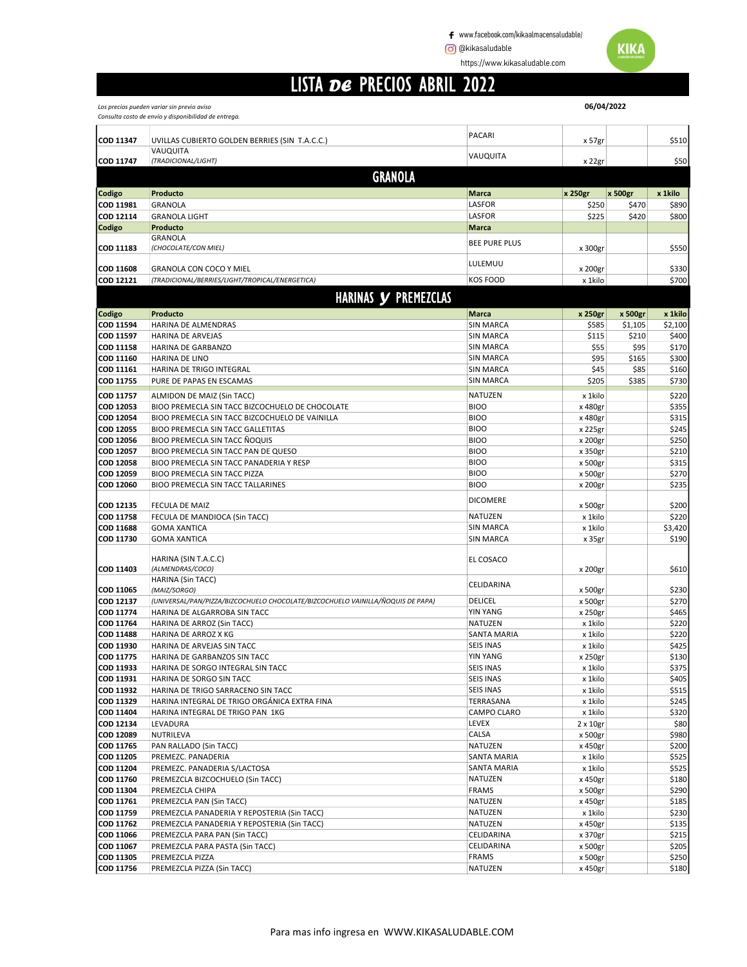https://www.kikasaludable.com

## LISTA DE PRECIOS ABRIL 2022

Los precios pueden variar sin previo aviso

|                        | Consulta costo de envío y disponibilidad de entrega.                                            |                                      |                    |                  |                  |
|------------------------|-------------------------------------------------------------------------------------------------|--------------------------------------|--------------------|------------------|------------------|
|                        |                                                                                                 | <b>PACARI</b>                        |                    |                  |                  |
| COD 11347              | UVILLAS CUBIERTO GOLDEN BERRIES (SIN T.A.C.C.)<br>VAUQUITA                                      |                                      | x 57gr             |                  | \$510            |
| COD 11747              | (TRADICIONAL/LIGHT)                                                                             | VAUQUITA                             | x 22gr             |                  | \$50             |
|                        | <b>GRANOLA</b>                                                                                  |                                      |                    |                  |                  |
|                        |                                                                                                 |                                      |                    |                  |                  |
| <b>Codigo</b>          | Producto                                                                                        | <b>Marca</b>                         | x 250gr            | x 500gr          | x 1kilo          |
| COD 11981              | GRANOLA                                                                                         | LASFOR                               | \$250              | \$470            | \$890            |
| COD 12114              | <b>GRANOLA LIGHT</b>                                                                            | LASFOR                               | \$225              | \$420            | \$800            |
| Codigo                 | Producto<br><b>GRANOLA</b>                                                                      | Marca                                |                    |                  |                  |
| COD 11183              | (CHOCOLATE/CON MIEL)                                                                            | <b>BEE PURE PLUS</b>                 | x 300gr            |                  | \$550            |
|                        |                                                                                                 |                                      |                    |                  |                  |
| <b>COD 11608</b>       | <b>GRANOLA CON COCO Y MIEL</b>                                                                  | LULEMUU                              | x 200gr            |                  | \$330            |
| <b>COD 12121</b>       | (TRADICIONAL/BERRIES/LIGHT/TROPICAL/ENERGETICA)                                                 | <b>KOS FOOD</b>                      | x 1kilo            |                  | \$700            |
|                        | HARINAS Y PREMEZCLAS                                                                            |                                      |                    |                  |                  |
|                        |                                                                                                 |                                      |                    |                  |                  |
| <b>Codigo</b>          | Producto<br>HARINA DE ALMENDRAS                                                                 | <b>Marca</b>                         | x 250gr            | x 500gr          | x 1kilo          |
| COD 11594<br>COD 11597 | <b>HARINA DE ARVEJAS</b>                                                                        | <b>SIN MARCA</b><br><b>SIN MARCA</b> | \$585<br>\$115     | \$1,105<br>\$210 | \$2,100<br>\$400 |
| <b>COD 11158</b>       | <b>HARINA DE GARBANZO</b>                                                                       | <b>SIN MARCA</b>                     | \$55               | \$95             | \$170            |
| COD 11160              | <b>HARINA DE LINO</b>                                                                           | <b>SIN MARCA</b>                     | \$95               | \$165            | \$300            |
| COD 11161              | HARINA DE TRIGO INTEGRAL                                                                        | <b>SIN MARCA</b>                     | \$45               | \$85             | \$160            |
| COD 11755              | PURE DE PAPAS EN ESCAMAS                                                                        | <b>SIN MARCA</b>                     | \$205              | \$385            | \$730            |
| COD 11757              | ALMIDON DE MAIZ (Sin TACC)                                                                      | <b>NATUZEN</b>                       | x 1kilo            |                  | \$220            |
| COD 12053              | BIOO PREMECLA SIN TACC BIZCOCHUELO DE CHOCOLATE                                                 | <b>BIOO</b>                          | x 480gr            |                  | \$355            |
| COD 12054              | BIOO PREMECLA SIN TACC BIZCOCHUELO DE VAINILLA                                                  | <b>BIOO</b>                          | x 480gr            |                  | \$315            |
| COD 12055              | <b>BIOO PREMECLA SIN TACC GALLETITAS</b>                                                        | <b>BIOO</b>                          | x 225gr            |                  | \$245            |
| COD 12056              | BIOO PREMECLA SIN TACC NOQUIS                                                                   | <b>BIOO</b>                          | x 200gr            |                  | \$250            |
| COD 12057              | BIOO PREMECLA SIN TACC PAN DE QUESO                                                             | <b>BIOO</b>                          | x 350gr            |                  | \$210            |
| <b>COD 12058</b>       | BIOO PREMECLA SIN TACC PANADERIA Y RESP                                                         | <b>BIOO</b>                          | x 500gr            |                  | \$315            |
| COD 12059              | BIOO PREMECLA SIN TACC PIZZA                                                                    | <b>BIOO</b>                          | x 500gr            |                  | \$270            |
| COD 12060              | BIOO PREMECLA SIN TACC TALLARINES                                                               | <b>BIOO</b>                          | x 200gr            |                  | \$235            |
|                        |                                                                                                 | <b>DICOMERE</b>                      |                    |                  |                  |
| COD 12135<br>COD 11758 | <b>FECULA DE MAIZ</b><br>FECULA DE MANDIOCA (Sin TACC)                                          | <b>NATUZEN</b>                       | x 500gr<br>x 1kilo |                  | \$200<br>\$220   |
| COD 11688              | <b>GOMA XANTICA</b>                                                                             | <b>SIN MARCA</b>                     | x 1kilo            |                  | \$3,420          |
| COD 11730              | <b>GOMA XANTICA</b>                                                                             | <b>SIN MARCA</b>                     | x 35gr             |                  | \$190            |
|                        |                                                                                                 |                                      |                    |                  |                  |
|                        | HARINA (SIN T.A.C.C)                                                                            | EL COSACO                            |                    |                  |                  |
| COD 11403              | (ALMENDRAS/COCO)                                                                                |                                      | x 200gr            |                  | \$610            |
|                        | HARINA (Sin TACC)                                                                               | CELIDARINA                           |                    |                  |                  |
| COD 11065<br>COD 12137 | (MAIZ/SORGO)<br>(UNIVERSAL/PAN/PIZZA/BIZCOCHUELO CHOCOLATE/BIZCOCHUELO VAINILLA/ÑOQUIS DE PAPA) | DELICEL                              | x 500gr            |                  | \$230<br>\$270   |
| COD 11774              | HARINA DE ALGARROBA SIN TACC                                                                    | <b>YIN YANG</b>                      | x 500gr<br>x 250gr |                  | \$465            |
| COD 11764              | HARINA DE ARROZ (Sin TACC)                                                                      | <b>NATUZEN</b>                       | x 1kilo            |                  | \$220            |
| <b>COD 11488</b>       | HARINA DE ARROZ X KG                                                                            | SANTA MARIA                          | x 1kilo            |                  | \$220            |
| COD 11930              | HARINA DE ARVEJAS SIN TACC                                                                      | <b>SEIS INAS</b>                     | x 1kilo            |                  | \$425            |
| COD 11775              | HARINA DE GARBANZOS SIN TACC                                                                    | <b>YIN YANG</b>                      | x 250gr            |                  | \$130            |
| COD 11933              | HARINA DE SORGO INTEGRAL SIN TACC                                                               | <b>SEIS INAS</b>                     | x 1kilo            |                  | \$375            |
| COD 11931              | HARINA DE SORGO SIN TACC                                                                        | <b>SEIS INAS</b>                     | x 1kilo            |                  | \$405            |
| COD 11932              | HARINA DE TRIGO SARRACENO SIN TACC                                                              | <b>SEIS INAS</b>                     | x 1kilo            |                  | \$515            |
| COD 11329              | HARINA INTEGRAL DE TRIGO ORGÁNICA EXTRA FINA                                                    | TERRASANA                            | x 1kilo            |                  | \$245            |
| COD 11404              | HARINA INTEGRAL DE TRIGO PAN 1KG                                                                | CAMPO CLARO                          | x 1kilo            |                  | \$320            |
| COD 12134              | LEVADURA                                                                                        | LEVEX                                | $2 \times 10$ gr   |                  | \$80             |
| COD 12089              | NUTRILEVA                                                                                       | CALSA                                | x 500gr            |                  | \$980            |
| COD 11765              | PAN RALLADO (Sin TACC)                                                                          | NATUZEN                              | x 450gr            |                  | \$200            |
| COD 11205              | PREMEZC. PANADERIA                                                                              | SANTA MARIA                          | x 1kilo            |                  | \$525            |
| COD 11204<br>COD 11760 | PREMEZC. PANADERIA S/LACTOSA                                                                    | SANTA MARIA<br>NATUZEN               | x 1kilo            |                  | \$525<br>\$180   |
| COD 11304              | PREMEZCLA BIZCOCHUELO (Sin TACC)<br>PREMEZCLA CHIPA                                             | <b>FRAMS</b>                         | x 450gr<br>x 500gr |                  | \$290            |
| COD 11761              | PREMEZCLA PAN (Sin TACC)                                                                        | NATUZEN                              | x 450gr            |                  | \$185            |
| COD 11759              | PREMEZCLA PANADERIA Y REPOSTERIA (Sin TACC)                                                     | NATUZEN                              | x 1kilo            |                  | \$230            |
| COD 11762              | PREMEZCLA PANADERIA Y REPOSTERIA (Sin TACC)                                                     | NATUZEN                              | x 450gr            |                  | \$135            |
| COD 11066              | PREMEZCLA PARA PAN (Sin TACC)                                                                   | CELIDARINA                           | x 370gr            |                  | \$215            |
| COD 11067              | PREMEZCLA PARA PASTA (Sin TACC)                                                                 | CELIDARINA                           | x 500gr            |                  | \$205            |
| COD 11305              | PREMEZCLA PIZZA                                                                                 | <b>FRAMS</b>                         | x 500gr            |                  | \$250            |
| COD 11756              | PREMEZCLA PIZZA (Sin TACC)                                                                      | NATUZEN                              | x 450gr            |                  | \$180            |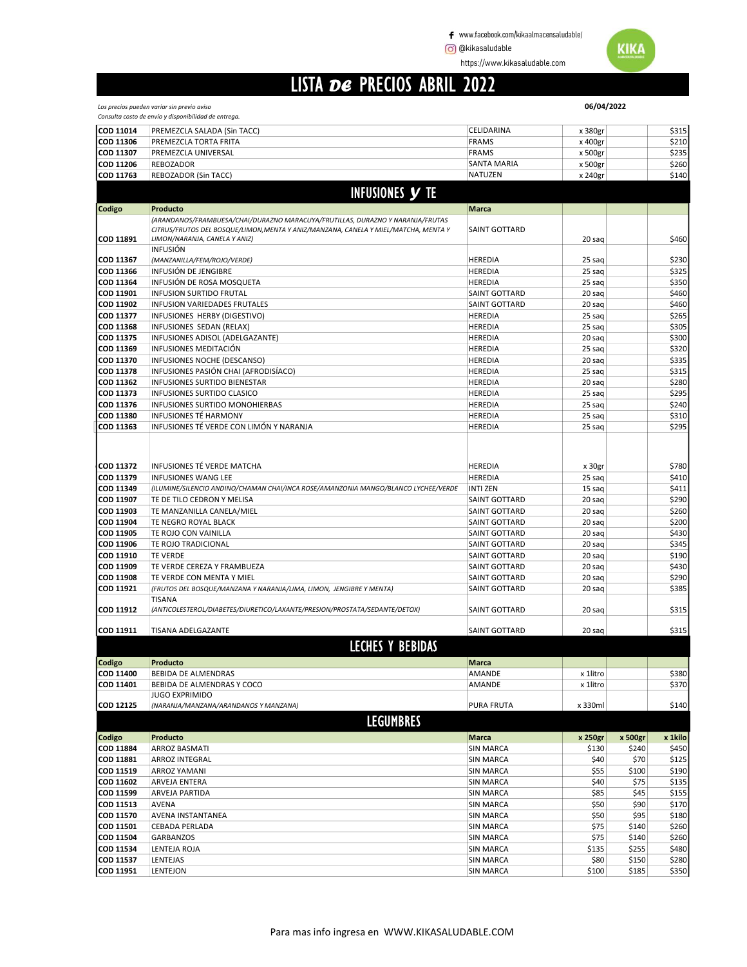www.facebook.com/kikaalmacensaludable/

**@** @kikasaludable **WIKA** 

https://www.kikasaludable.com

## LISTA DE PRECIOS ABRIL 2022

Los precios pueden variar sin previo aviso

|                        | Consulta costo de envío y disponibilidad de entrega.                                                                                                                                                   |                                      |                  |                |                |
|------------------------|--------------------------------------------------------------------------------------------------------------------------------------------------------------------------------------------------------|--------------------------------------|------------------|----------------|----------------|
| COD 11014              | PREMEZCLA SALADA (Sin TACC)                                                                                                                                                                            | CELIDARINA                           | x 380gr          |                | \$315          |
| COD 11306              | PREMEZCLA TORTA FRITA                                                                                                                                                                                  | <b>FRAMS</b>                         | x 400gr          |                | \$210          |
| COD 11307              | PREMEZCLA UNIVERSAL                                                                                                                                                                                    | <b>FRAMS</b>                         | x 500gr          |                | \$235          |
| COD 11206              | <b>REBOZADOR</b>                                                                                                                                                                                       | SANTA MARIA                          | x 500gr          |                | \$260          |
| COD 11763              | <b>REBOZADOR (Sin TACC)</b>                                                                                                                                                                            | NATUZEN                              | x 240gr          |                | \$140          |
|                        | <b>INFUSIONES Y TE</b>                                                                                                                                                                                 |                                      |                  |                |                |
|                        |                                                                                                                                                                                                        |                                      |                  |                |                |
| Codigo                 | Producto                                                                                                                                                                                               | <b>Marca</b>                         |                  |                |                |
| COD 11891              | (ARANDANOS/FRAMBUESA/CHAI/DURAZNO MARACUYA/FRUTILLAS, DURAZNO Y NARANJA/FRUTAS<br>CITRUS/FRUTOS DEL BOSQUE/LIMON, MENTA Y ANIZ/MANZANA, CANELA Y MIEL/MATCHA, MENTA Y<br>LIMON/NARANJA, CANELA Y ANIZ) | SAINT GOTTARD                        | 20 sag           |                | \$460          |
| COD 11367              | <b>INFUSIÓN</b><br>(MANZANILLA/FEM/ROJO/VERDE)                                                                                                                                                         | HEREDIA                              | 25 sag           |                | \$230          |
| COD 11366              | INFUSIÓN DE JENGIBRE                                                                                                                                                                                   | <b>HEREDIA</b>                       | 25 sag           |                | \$325          |
| COD 11364              | INFUSIÓN DE ROSA MOSQUETA                                                                                                                                                                              | HEREDIA                              | 25 sag           |                | \$350          |
| COD 11901              | INFUSION SURTIDO FRUTAL                                                                                                                                                                                | SAINT GOTTARD                        | 20 sag           |                | \$460          |
| COD 11902              | INFUSION VARIEDADES FRUTALES                                                                                                                                                                           | SAINT GOTTARD                        | 20 sag           |                | \$460          |
| COD 11377              | INFUSIONES HERBY (DIGESTIVO)                                                                                                                                                                           | HEREDIA                              | 25 sag           |                | \$265          |
| COD 11368              | INFUSIONES SEDAN (RELAX)                                                                                                                                                                               | <b>HEREDIA</b>                       | 25 sag           |                | \$305          |
| COD 11375              | INFUSIONES ADISOL (ADELGAZANTE)                                                                                                                                                                        | <b>HEREDIA</b>                       | 20 sag           |                | \$300          |
| COD 11369              | INFUSIONES MEDITACIÓN                                                                                                                                                                                  | <b>HEREDIA</b>                       | 25 sag           |                | \$320          |
| COD 11370              | INFUSIONES NOCHE (DESCANSO)                                                                                                                                                                            | <b>HEREDIA</b>                       | 20 sag           |                | \$335          |
| COD 11378              | INFUSIONES PASIÓN CHAI (AFRODISÍACO)                                                                                                                                                                   | <b>HEREDIA</b>                       | 25 sag           |                | \$315          |
| COD 11362              | INFUSIONES SURTIDO BIENESTAR                                                                                                                                                                           | <b>HEREDIA</b>                       | 20 sag           |                | \$280          |
| COD 11373              | INFUSIONES SURTIDO CLASICO                                                                                                                                                                             | <b>HEREDIA</b>                       | 25 sag           |                | \$295          |
| COD 11376<br>COD 11380 | INFUSIONES SURTIDO MONOHIERBAS<br><b>INFUSIONES TÉ HARMONY</b>                                                                                                                                         | <b>HEREDIA</b><br><b>HEREDIA</b>     | 25 sag<br>25 sag |                | \$240<br>\$310 |
| COD 11363              | INFUSIONES TÉ VERDE CON LIMÓN Y NARANJA                                                                                                                                                                | <b>HEREDIA</b>                       | 25 saq           |                | \$295          |
| COD 11372              | INFUSIONES TÉ VERDE MATCHA                                                                                                                                                                             | HEREDIA                              | x 30gr           |                | \$780          |
| COD 11379              | <b>INFUSIONES WANG LEE</b>                                                                                                                                                                             | <b>HEREDIA</b>                       | 25 sag           |                | \$410          |
| COD 11349              | (ILUMINE/SILENCIO ANDINO/CHAMAN CHAI/INCA ROSE/AMANZONIA MANGO/BLANCO LYCHEE/VERDE                                                                                                                     | <b>INTI ZEN</b>                      | 15 sag           |                | \$411          |
| COD 11907              | TE DE TILO CEDRON Y MELISA                                                                                                                                                                             | SAINT GOTTARD                        | 20 sag           |                | \$290          |
| COD 11903              | TE MANZANILLA CANELA/MIEL                                                                                                                                                                              | SAINT GOTTARD                        | 20 sag           |                | \$260          |
| COD 11904<br>COD 11905 | TE NEGRO ROYAL BLACK<br>TE ROJO CON VAINILLA                                                                                                                                                           | SAINT GOTTARD<br>SAINT GOTTARD       | 20 sag<br>20 sag |                | \$200<br>\$430 |
| COD 11906              | TE ROJO TRADICIONAL                                                                                                                                                                                    | SAINT GOTTARD                        | 20 sag           |                | \$345          |
| COD 11910              | <b>TE VERDE</b>                                                                                                                                                                                        | <b>SAINT GOTTARD</b>                 | 20 sag           |                | \$190          |
| COD 11909              | TE VERDE CEREZA Y FRAMBUEZA                                                                                                                                                                            | <b>SAINT GOTTARD</b>                 | 20 sag           |                | \$430          |
| COD 11908              | TE VERDE CON MENTA Y MIEL                                                                                                                                                                              | <b>SAINT GOTTARD</b>                 | 20 sag           |                | \$290          |
| COD 11921              | (FRUTOS DEL BOSQUE/MANZANA Y NARANJA/LIMA, LIMON, JENGIBRE Y MENTA)                                                                                                                                    | SAINT GOTTARD                        | 20 sag           |                | \$385          |
| COD 11912              | <b>TISANA</b><br>(ANTICOLESTEROL/DIABETES/DIURETICO/LAXANTE/PRESION/PROSTATA/SEDANTE/DETOX)                                                                                                            | SAINT GOTTARD                        | 20 sag           |                | \$315          |
| COD 11911              | <b>TISANA ADELGAZANTE</b>                                                                                                                                                                              | SAINT GOTTARD                        | 20 sag           |                | \$315          |
|                        | <b>LECHES Y BEBIDAS</b>                                                                                                                                                                                |                                      |                  |                |                |
| Codigo                 | Producto                                                                                                                                                                                               | Marca                                |                  |                |                |
| COD 11400              | <b>BEBIDA DE ALMENDRAS</b>                                                                                                                                                                             | AMANDE                               | x 1litro         |                | \$380          |
| COD 11401              | BEBIDA DE ALMENDRAS Y COCO                                                                                                                                                                             | AMANDE                               | x 1litro         |                | \$370          |
| COD 12125              | <b>JUGO EXPRIMIDO</b><br>(NARANJA/MANZANA/ARANDANOS Y MANZANA)                                                                                                                                         | <b>PURA FRUTA</b>                    | x 330ml          |                | \$140          |
|                        | <b>LEGUMBRES</b>                                                                                                                                                                                       |                                      |                  |                |                |
| Codigo                 | Producto                                                                                                                                                                                               | Marca                                | x 250gr          | x 500gr        | x 1kilo        |
| COD 11884              | ARROZ BASMATI                                                                                                                                                                                          | <b>SIN MARCA</b>                     | \$130            | \$240          | \$450          |
| COD 11881              | <b>ARROZ INTEGRAL</b>                                                                                                                                                                                  | <b>SIN MARCA</b>                     | \$40             | \$70           | \$125          |
| COD 11519              | ARROZ YAMANI                                                                                                                                                                                           | <b>SIN MARCA</b>                     | \$55             | \$100          | \$190          |
| COD 11602              | ARVEJA ENTERA                                                                                                                                                                                          | <b>SIN MARCA</b>                     | \$40             | \$75           | \$135          |
| COD 11599              | ARVEJA PARTIDA                                                                                                                                                                                         | <b>SIN MARCA</b>                     | \$85             | \$45           | \$155          |
| COD 11513              | AVENA                                                                                                                                                                                                  | <b>SIN MARCA</b>                     | \$50             | \$90           | \$170          |
| COD 11570              | AVENA INSTANTANEA                                                                                                                                                                                      | <b>SIN MARCA</b>                     | \$50             | \$95           | \$180          |
| COD 11501<br>COD 11504 | CEBADA PERLADA<br><b>GARBANZOS</b>                                                                                                                                                                     | <b>SIN MARCA</b><br><b>SIN MARCA</b> | \$75<br>\$75     | \$140          | \$260<br>\$260 |
| COD 11534              | LENTEJA ROJA                                                                                                                                                                                           | <b>SIN MARCA</b>                     | \$135            | \$140<br>\$255 | \$480          |
| COD 11537              | LENTEJAS                                                                                                                                                                                               | <b>SIN MARCA</b>                     | \$80             | \$150          | \$280          |
| COD 11951              | LENTEJON                                                                                                                                                                                               | <b>SIN MARCA</b>                     | \$100            | \$185          | \$350          |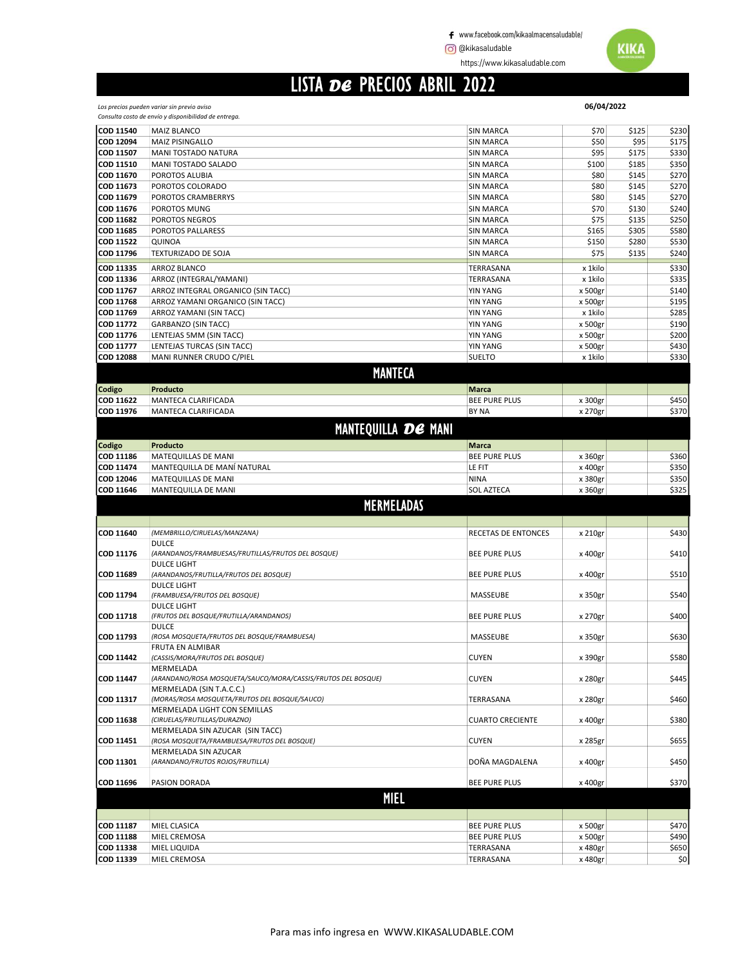https://www.kikasaludable.com

#### LISTA DE PRECIOS ABRIL 2022

Los precios pueden variar sin previo aviso

|                               | Consulta costo de envío y disponibilidad de entrega.                     |                         |                    |       |                |
|-------------------------------|--------------------------------------------------------------------------|-------------------------|--------------------|-------|----------------|
| COD 11540                     | <b>MAIZ BLANCO</b>                                                       | <b>SIN MARCA</b>        | \$70               | \$125 | \$230          |
| COD 12094                     | MAIZ PISINGALLO                                                          | <b>SIN MARCA</b>        | \$50               | \$95  | \$175          |
| COD 11507                     | MANI TOSTADO NATURA                                                      | <b>SIN MARCA</b>        | \$95               | \$175 | \$330          |
| COD 11510                     | MANI TOSTADO SALADO                                                      | <b>SIN MARCA</b>        | \$100              | \$185 | \$350          |
| COD 11670                     | POROTOS ALUBIA                                                           | <b>SIN MARCA</b>        | \$80               | \$145 | \$270          |
| COD 11673                     | POROTOS COLORADO                                                         | <b>SIN MARCA</b>        | \$80               | \$145 | \$270          |
| COD 11679                     | POROTOS CRAMBERRYS                                                       | <b>SIN MARCA</b>        | \$80               | \$145 | \$270          |
| COD 11676                     | POROTOS MUNG                                                             | <b>SIN MARCA</b>        | \$70               | \$130 | \$240          |
| COD 11682                     | POROTOS NEGROS                                                           | <b>SIN MARCA</b>        | \$75               | \$135 | \$250          |
| COD 11685                     | POROTOS PALLARESS                                                        | <b>SIN MARCA</b>        | \$165              | \$305 | \$580          |
| COD 11522                     | QUINOA                                                                   | <b>SIN MARCA</b>        | \$150              | \$280 | \$530          |
| COD 11796                     | TEXTURIZADO DE SOJA                                                      | <b>SIN MARCA</b>        | \$75               | \$135 | \$240          |
|                               |                                                                          |                         |                    |       |                |
| COD 11335                     | ARROZ BLANCO                                                             | <b>TERRASANA</b>        | x 1kilo            |       | \$330          |
| COD 11336                     | ARROZ (INTEGRAL/YAMANI)                                                  | TERRASANA               | x 1kilo            |       | \$335          |
| COD 11767                     | ARROZ INTEGRAL ORGANICO (SIN TACC)                                       | <b>YIN YANG</b>         | x 500gr            |       | \$140          |
| COD 11768                     | ARROZ YAMANI ORGANICO (SIN TACC)                                         | <b>YIN YANG</b>         | x 500gr            |       | \$195          |
| COD 11769                     | ARROZ YAMANI (SIN TACC)                                                  | <b>YIN YANG</b>         | x 1kilo            |       | \$285          |
| COD 11772                     | GARBANZO (SIN TACC)                                                      | <b>YIN YANG</b>         | x 500gr            |       | \$190          |
| COD 11776                     | LENTEJAS 5MM (SIN TACC)                                                  | <b>YIN YANG</b>         | x 500gr            |       | \$200          |
| COD 11777                     | LENTEJAS TURCAS (SIN TACC)                                               | <b>YIN YANG</b>         | x 500gr            |       | \$430          |
| <b>COD 12088</b>              | MANI RUNNER CRUDO C/PIEL                                                 | <b>SUELTO</b>           | x 1kilo            |       | \$330          |
|                               | <b>MANTECA</b>                                                           |                         |                    |       |                |
|                               | Producto                                                                 | <b>Marca</b>            |                    |       |                |
| Codigo                        |                                                                          | <b>BEE PURE PLUS</b>    |                    |       |                |
| COD 11622<br>COD 11976        | MANTECA CLARIFICADA                                                      |                         | x 300gr            |       | \$450<br>\$370 |
|                               | MANTECA CLARIFICADA                                                      | <b>BY NA</b>            | x 270gr            |       |                |
|                               | <b>MANTEQUILLA DE MANI</b>                                               |                         |                    |       |                |
| <b>Codigo</b>                 | Producto                                                                 | <b>Marca</b>            |                    |       |                |
| COD 11186                     | MATEQUILLAS DE MANI                                                      | <b>BEE PURE PLUS</b>    | x 360gr            |       | \$360          |
|                               | MANTEQUILLA DE MANÍ NATURAL                                              |                         |                    |       |                |
| COD 11474                     |                                                                          | LE FIT                  | x 400gr            |       | \$350          |
| COD 12046                     | MATEQUILLAS DE MANI                                                      | <b>NINA</b>             | x 380gr            |       | \$350          |
|                               |                                                                          |                         |                    |       |                |
| COD 11646                     | MANTEQUILLA DE MANI                                                      | <b>SOL AZTECA</b>       | x 360gr            |       | \$325          |
|                               | <b>MERMELADAS</b>                                                        |                         |                    |       |                |
|                               |                                                                          |                         |                    |       |                |
|                               |                                                                          |                         |                    |       |                |
| COD 11640                     | (MEMBRILLO/CIRUELAS/MANZANA)                                             | RECETAS DE ENTONCES     | x 210gr            |       | \$430          |
|                               | <b>DULCE</b>                                                             |                         |                    |       |                |
| COD 11176                     | (ARANDANOS/FRAMBUESAS/FRUTILLAS/FRUTOS DEL BOSQUE)<br><b>DULCE LIGHT</b> | <b>BEE PURE PLUS</b>    | x 400gr            |       | \$410          |
| COD 11689                     | (ARANDANOS/FRUTILLA/FRUTOS DEL BOSQUE)                                   | <b>BEE PURE PLUS</b>    | x 400gr            |       | \$510          |
|                               | <b>DULCE LIGHT</b>                                                       |                         |                    |       |                |
| COD 11794                     | (FRAMBUESA/FRUTOS DEL BOSQUE)                                            | MASSEUBE                | x 350gr            |       | \$540          |
|                               | <b>DULCE LIGHT</b>                                                       |                         |                    |       |                |
| COD 11718                     | (FRUTOS DEL BOSQUE/FRUTILLA/ARANDANOS)                                   | <b>BEE PURE PLUS</b>    | x 270gr            |       | \$400          |
|                               | <b>DULCE</b>                                                             |                         |                    |       |                |
| COD 11793                     | (ROSA MOSQUETA/FRUTOS DEL BOSQUE/FRAMBUESA)                              | MASSEUBE                | x 350gr            |       | \$630          |
|                               | <b>FRUTA EN ALMIBAR</b>                                                  |                         |                    |       |                |
| <b>COD 11442</b>              | (CASSIS/MORA/FRUTOS DEL BOSQUE)                                          | <b>CUYEN</b>            | x 390gr            |       | \$580          |
|                               | MERMELADA                                                                |                         |                    |       |                |
| COD 11447                     | (ARANDANO/ROSA MOSQUETA/SAUCO/MORA/CASSIS/FRUTOS DEL BOSQUE)             | <b>CUYEN</b>            | x 280gr            |       | \$445          |
|                               | MERMELADA (SIN T.A.C.C.)                                                 |                         |                    |       |                |
| COD 11317                     | (MORAS/ROSA MOSQUETA/FRUTOS DEL BOSQUE/SAUCO)                            | TERRASANA               | x 280gr            |       | \$460          |
|                               | MERMELADA LIGHT CON SEMILLAS                                             |                         |                    |       |                |
| COD 11638                     | (CIRUELAS/FRUTILLAS/DURAZNO)                                             | <b>CUARTO CRECIENTE</b> | x 400gr            |       | \$380          |
|                               | MERMELADA SIN AZUCAR (SIN TACC)                                          |                         |                    |       |                |
| COD 11451                     | (ROSA MOSQUETA/FRAMBUESA/FRUTOS DEL BOSQUE)                              | <b>CUYEN</b>            | x 285gr            |       | \$655          |
|                               | MERMELADA SIN AZUCAR                                                     |                         |                    |       |                |
| COD 11301                     | (ARANDANO/FRUTOS ROJOS/FRUTILLA)                                         | DOÑA MAGDALENA          | x 400gr            |       | \$450          |
|                               |                                                                          |                         |                    |       |                |
| COD 11696                     | PASION DORADA                                                            | <b>BEE PURE PLUS</b>    | x 400gr            |       |                |
|                               | <b>MIEL</b>                                                              |                         |                    |       |                |
|                               |                                                                          |                         |                    |       | \$370          |
|                               | MIEL CLASICA                                                             | <b>BEE PURE PLUS</b>    | x 500gr            |       | \$470          |
| <b>COD 11187</b><br>COD 11188 | MIEL CREMOSA                                                             | <b>BEE PURE PLUS</b>    |                    |       | \$490          |
| COD 11338                     | MIEL LIQUIDA                                                             | TERRASANA               | x 500gr<br>x 480gr |       | \$650          |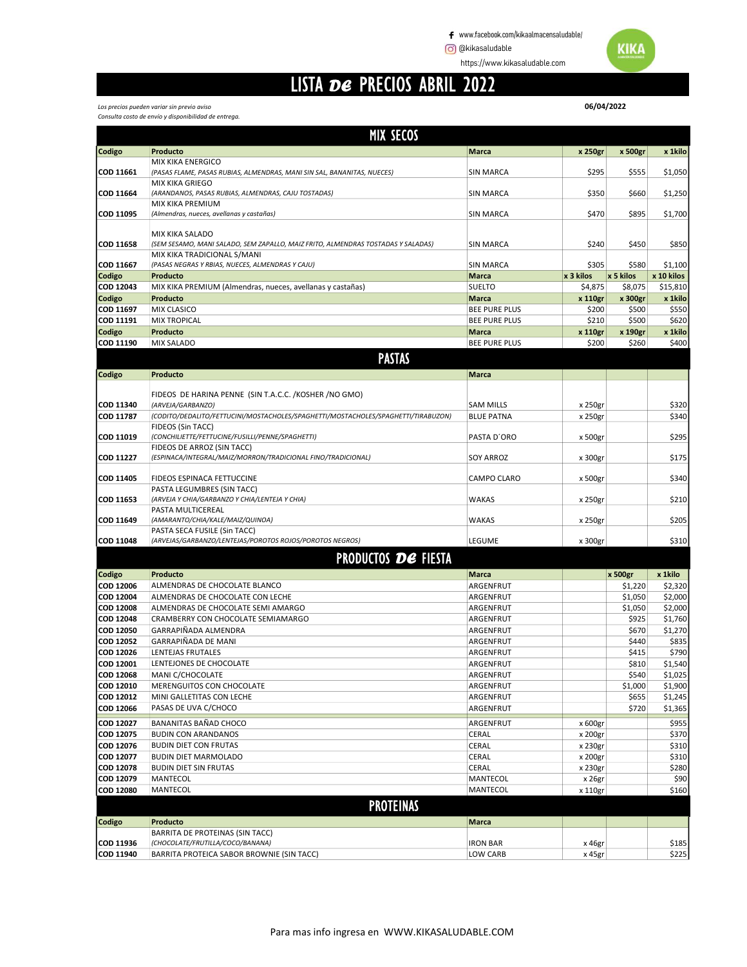https://www.kikasaludable.com

### LISTA DE PRECIOS ABRIL 2022

|                                      | <b>MIX SECOS</b>                                                                                                |                      |           |                    |                    |
|--------------------------------------|-----------------------------------------------------------------------------------------------------------------|----------------------|-----------|--------------------|--------------------|
| Codigo                               | Producto                                                                                                        | Marca                | x 250gr   | x 500gr            | x 1kilo            |
|                                      | <b>MIX KIKA ENERGICO</b>                                                                                        |                      |           |                    |                    |
| COD 11661                            | (PASAS FLAME, PASAS RUBIAS, ALMENDRAS, MANI SIN SAL, BANANITAS, NUECES)                                         | <b>SIN MARCA</b>     | \$295     | \$555              | \$1,050            |
| COD 11664                            | MIX KIKA GRIEGO<br>(ARANDANOS, PASAS RUBIAS, ALMENDRAS, CAJU TOSTADAS)                                          | <b>SIN MARCA</b>     | \$350     | \$660              | \$1,250            |
|                                      | MIX KIKA PREMIUM                                                                                                |                      |           |                    |                    |
| COD 11095                            | (Almendras, nueces, avellanas y castañas)                                                                       | <b>SIN MARCA</b>     | \$470     | \$895              | \$1,700            |
|                                      |                                                                                                                 |                      |           |                    |                    |
|                                      | MIX KIKA SALADO                                                                                                 |                      |           |                    |                    |
| <b>COD 11658</b>                     | (SEM SESAMO, MANI SALADO, SEM ZAPALLO, MAIZ FRITO, ALMENDRAS TOSTADAS Y SALADAS)<br>MIX KIKA TRADICIONAL S/MANI | <b>SIN MARCA</b>     | \$240     | \$450              | \$850              |
| COD 11667                            | (PASAS NEGRAS Y RBIAS, NUECES, ALMENDRAS Y CAJU)                                                                | <b>SIN MARCA</b>     | \$305     | \$580              | \$1,100            |
| Codigo                               | Producto                                                                                                        | Marca                | x 3 kilos | x 5 kilos          | x 10 kilos         |
| COD 12043                            | MIX KIKA PREMIUM (Almendras, nueces, avellanas y castañas)                                                      | <b>SUELTO</b>        | \$4,875   | \$8,075            | \$15,810           |
| Codigo                               | Producto                                                                                                        | Marca                | x 110gr   | x 300gr            | x 1kilo            |
| COD 11697                            | MIX CLASICO                                                                                                     | <b>BEE PURE PLUS</b> | \$200     | \$500              | \$550              |
| COD 11191                            | <b>MIX TROPICAL</b>                                                                                             | <b>BEE PURE PLUS</b> | \$210     | \$500              | \$620              |
| Codigo                               | Producto                                                                                                        | Marca                | x 110gr   | x 190gr            | x 1kilo            |
| COD 11190                            | <b>MIX SALADO</b>                                                                                               | <b>BEE PURE PLUS</b> | \$200     | \$260              | \$400              |
|                                      | <b>PASTAS</b>                                                                                                   |                      |           |                    |                    |
| Codigo                               | Producto                                                                                                        | <b>Marca</b>         |           |                    |                    |
|                                      |                                                                                                                 |                      |           |                    |                    |
|                                      | FIDEOS DE HARINA PENNE (SIN T.A.C.C. /KOSHER /NO GMO)                                                           |                      |           |                    |                    |
| <b>COD 11340</b><br><b>COD 11787</b> | (ARVEJA/GARBANZO)<br>(CODITO/DEDALITO/FETTUCINI/MOSTACHOLES/SPAGHETTI/MOSTACHOLES/SPAGHETTI/TIRABUZON)          | <b>SAM MILLS</b>     | x 250gr   |                    | \$320<br>\$340     |
|                                      | FIDEOS (Sin TACC)                                                                                               | <b>BLUE PATNA</b>    | x 250gr   |                    |                    |
| COD 11019                            | (CONCHILIETTE/FETTUCINE/FUSILLI/PENNE/SPAGHETTI)                                                                | PASTA D'ORO          | x 500gr   |                    | \$295              |
|                                      | FIDEOS DE ARROZ (SIN TACC)                                                                                      |                      |           |                    |                    |
| COD 11227                            | (ESPINACA/INTEGRAL/MAIZ/MORRON/TRADICIONAL FINO/TRADICIONAL)                                                    | <b>SOY ARROZ</b>     | x 300gr   |                    | \$175              |
|                                      |                                                                                                                 |                      |           |                    |                    |
| COD 11405                            | FIDEOS ESPINACA FETTUCCINE                                                                                      | <b>CAMPO CLARO</b>   | x 500gr   |                    | \$340              |
| COD 11653                            | PASTA LEGUMBRES (SIN TACC)<br>(ARVEJA Y CHIA/GARBANZO Y CHIA/LENTEJA Y CHIA)                                    | <b>WAKAS</b>         | x 250gr   |                    | \$210              |
|                                      | PASTA MULTICEREAL                                                                                               |                      |           |                    |                    |
| COD 11649                            | (AMARANTO/CHIA/KALE/MAIZ/QUINOA)                                                                                | WAKAS                | x 250gr   |                    | \$205              |
|                                      | PASTA SECA FUSILE (Sin TACC)                                                                                    |                      |           |                    |                    |
| <b>COD 11048</b>                     | (ARVEJAS/GARBANZO/LENTEJAS/POROTOS ROJOS/POROTOS NEGROS)                                                        | LEGUME               | x 300gr   |                    | \$310              |
|                                      | <b>PRODUCTOS DE FIESTA</b>                                                                                      |                      |           |                    |                    |
|                                      |                                                                                                                 |                      |           |                    |                    |
| Codigo<br>COD 12006                  | Producto<br>ALMENDRAS DE CHOCOLATE BLANCO                                                                       | Marca<br>ARGENFRUT   |           | x 500gr<br>\$1,220 | x 1kilo<br>\$2,320 |
| COD 12004                            | ALMENDRAS DE CHOCOLATE CON LECHE                                                                                | ARGENFRUT            |           | \$1,050            | \$2,000            |
| <b>COD 12008</b>                     | ALMENDRAS DE CHOCOLATE SEMI AMARGO                                                                              | ARGENFRUT            |           | \$1,050            | \$2,000            |
| <b>COD 12048</b>                     | CRAMBERRY CON CHOCOLATE SEMIAMARGO                                                                              | ARGENFRUT            |           | \$925              | \$1,760            |
| <b>COD 12050</b>                     | GARRAPIÑADA ALMENDRA                                                                                            | ARGENFRUT            |           | \$670              | \$1,270            |
| <b>COD 12052</b>                     | GARRAPIÑADA DE MANI                                                                                             | ARGENFRUT            |           | \$440              | \$835              |
| COD 12026                            | LENTEJAS FRUTALES                                                                                               | ARGENFRUT            |           | \$415              | \$790              |
| COD 12001                            | LENTEJONES DE CHOCOLATE                                                                                         | ARGENFRUT            |           | \$810              | \$1,540            |
| COD 12068                            | MANI C/CHOCOLATE                                                                                                | ARGENFRUT            |           | \$540              | \$1,025            |
| COD 12010                            | MERENGUITOS CON CHOCOLATE                                                                                       | ARGENFRUT            |           | \$1,000            | \$1,900            |
| COD 12012                            | MINI GALLETITAS CON LECHE                                                                                       | ARGENFRUT            |           | \$655              | \$1,245            |
| COD 12066                            | PASAS DE UVA C/CHOCO                                                                                            | ARGENFRUT            |           | \$720              | \$1,365            |
| COD 12027                            | BANANITAS BAÑAD CHOCO                                                                                           | ARGENFRUT            | x 600gr   |                    | \$955              |
| COD 12075                            | <b>BUDIN CON ARANDANOS</b>                                                                                      | CERAL                | x 200gr   |                    | \$370              |
| COD 12076                            | <b>BUDIN DIET CON FRUTAS</b>                                                                                    | CERAL                | x 230gr   |                    | \$310              |
| COD 12077                            | <b>BUDIN DIET MARMOLADO</b>                                                                                     | CERAL                | x 200gr   |                    | \$310              |
| COD 12078                            | <b>BUDIN DIET SIN FRUTAS</b>                                                                                    | CERAL                | x 230gr   |                    | \$280              |
| COD 12079                            | MANTECOL                                                                                                        | MANTECOL             | x 26gr    |                    | \$90               |
| COD 12080                            | MANTECOL                                                                                                        | MANTECOL             | x 110gr   |                    | \$160              |
|                                      | <b>PROTEINAS</b>                                                                                                |                      |           |                    |                    |
| Codigo                               | Producto                                                                                                        | <b>Marca</b>         |           |                    |                    |
|                                      | BARRITA DE PROTEINAS (SIN TACC)                                                                                 |                      |           |                    |                    |
| COD 11936                            | (CHOCOLATE/FRUTILLA/COCO/BANANA)                                                                                | <b>IRON BAR</b>      | x 46gr    |                    | \$185              |
| COD 11940                            | BARRITA PROTEICA SABOR BROWNIE (SIN TACC)                                                                       | LOW CARB             | x 45gr    |                    | \$225              |